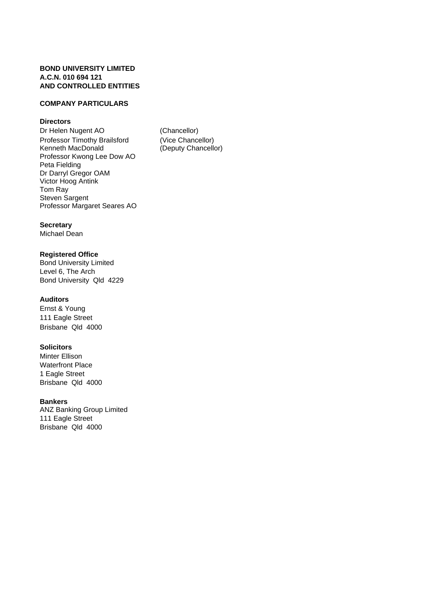### **BOND UNIVERSITY LIMITED A.C.N. 010 694 121 AND CONTROLLED ENTITIES**

### **COMPANY PARTICULARS**

### **Directors**

Dr Helen Nugent AO (Chancellor) Professor Timothy Brailsford (Vice Chancellor) Kenneth MacDonald (Deputy Chancellor) Professor Kwong Lee Dow AO Peta Fielding Dr Darryl Gregor OAM Victor Hoog Antink Tom Ray Steven Sargent Professor Margaret Seares AO

### **Secretary**

Michael Dean

### **Registered Office**

Bond University Limited Level 6, The Arch Bond University Qld 4229

### **Auditors**

Ernst & Young 111 Eagle Street Brisbane Qld 4000

### **Solicitors**

Minter Ellison Waterfront Place 1 Eagle Street Brisbane Qld 4000

### **Bankers**

ANZ Banking Group Limited 111 Eagle Street Brisbane Qld 4000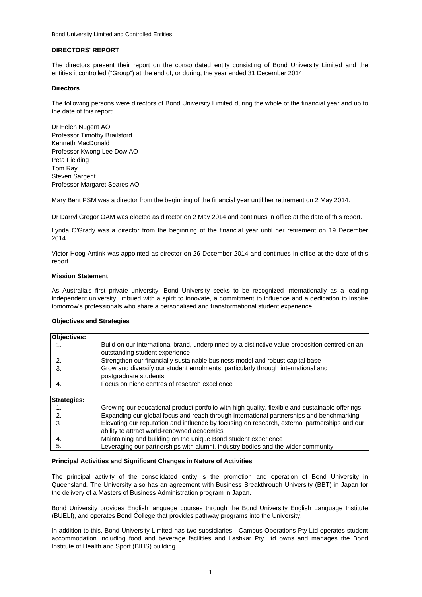#### **DIRECTORS' REPORT**

The directors present their report on the consolidated entity consisting of Bond University Limited and the entities it controlled ("Group") at the end of, or during, the year ended 31 December 2014.

#### **Directors**

The following persons were directors of Bond University Limited during the whole of the financial year and up to the date of this report:

Dr Helen Nugent AO Professor Timothy Brailsford Kenneth MacDonald Professor Kwong Lee Dow AO Peta Fielding Tom Ray Steven Sargent Professor Margaret Seares AO

Mary Bent PSM was a director from the beginning of the financial year until her retirement on 2 May 2014.

Dr Darryl Gregor OAM was elected as director on 2 May 2014 and continues in office at the date of this report.

Lynda O'Grady was a director from the beginning of the financial year until her retirement on 19 December 2014.

Victor Hoog Antink was appointed as director on 26 December 2014 and continues in office at the date of this report.

#### **Mission Statement**

As Australia's first private university, Bond University seeks to be recognized internationally as a leading independent university, imbued with a spirit to innovate, a commitment to influence and a dedication to inspire tomorrow's professionals who share a personalised and transformational student experience.

#### **Objectives and Strategies**

| Build on our international brand, underpinned by a distinctive value proposition centred on an<br>outstanding student experience<br>Strengthen our financially sustainable business model and robust capital base<br>2. |  |
|-------------------------------------------------------------------------------------------------------------------------------------------------------------------------------------------------------------------------|--|
|                                                                                                                                                                                                                         |  |
|                                                                                                                                                                                                                         |  |
| Grow and diversify our student enrolments, particularly through international and<br>3.<br>postgraduate students                                                                                                        |  |
| Focus on niche centres of research excellence                                                                                                                                                                           |  |

| <b>Strategies:</b> |                                                                                                 |
|--------------------|-------------------------------------------------------------------------------------------------|
|                    | Growing our educational product portfolio with high quality, flexible and sustainable offerings |
| 2.                 | Expanding our global focus and reach through international partnerships and benchmarking        |
| 3.                 | Elevating our reputation and influence by focusing on research, external partnerships and our   |
|                    | ability to attract world-renowned academics                                                     |
|                    | Maintaining and building on the unique Bond student experience                                  |
|                    | Leveraging our partnerships with alumni, industry bodies and the wider community                |

#### **Principal Activities and Significant Changes in Nature of Activities**

The principal activity of the consolidated entity is the promotion and operation of Bond University in Queensland. The University also has an agreement with Business Breakthrough University (BBT) in Japan for the delivery of a Masters of Business Administration program in Japan.

Bond University provides English language courses through the Bond University English Language Institute (BUELI), and operates Bond College that provides pathway programs into the University.

In addition to this, Bond University Limited has two subsidiaries - Campus Operations Pty Ltd operates student accommodation including food and beverage facilities and Lashkar Pty Ltd owns and manages the Bond Institute of Health and Sport (BIHS) building.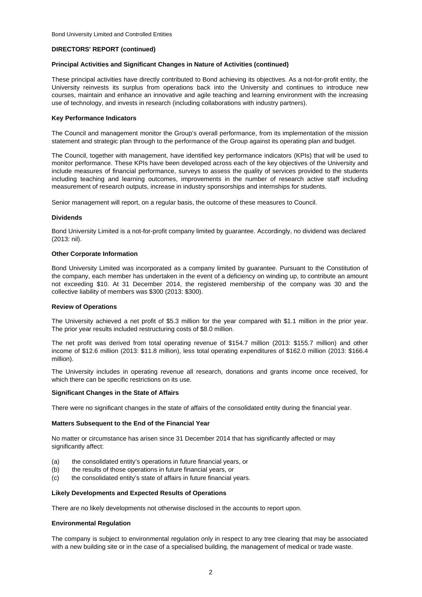#### **Principal Activities and Significant Changes in Nature of Activities (continued)**

These principal activities have directly contributed to Bond achieving its objectives. As a not-for-profit entity, the University reinvests its surplus from operations back into the University and continues to introduce new courses, maintain and enhance an innovative and agile teaching and learning environment with the increasing use of technology, and invests in research (including collaborations with industry partners).

#### **Key Performance Indicators**

The Council and management monitor the Group's overall performance, from its implementation of the mission statement and strategic plan through to the performance of the Group against its operating plan and budget.

The Council, together with management, have identified key performance indicators (KPIs) that will be used to monitor performance. These KPIs have been developed across each of the key objectives of the University and include measures of financial performance, surveys to assess the quality of services provided to the students including teaching and learning outcomes, improvements in the number of research active staff including measurement of research outputs, increase in industry sponsorships and internships for students.

Senior management will report, on a regular basis, the outcome of these measures to Council.

#### **Dividends**

Bond University Limited is a not-for-profit company limited by guarantee. Accordingly, no dividend was declared (2013: nil).

#### **Other Corporate Information**

Bond University Limited was incorporated as a company limited by guarantee. Pursuant to the Constitution of the company, each member has undertaken in the event of a deficiency on winding up, to contribute an amount not exceeding \$10. At 31 December 2014, the registered membership of the company was 30 and the collective liability of members was \$300 (2013: \$300).

#### **Review of Operations**

The University achieved a net profit of \$5.3 million for the year compared with \$1.1 million in the prior year. The prior year results included restructuring costs of \$8.0 million.

The net profit was derived from total operating revenue of \$154.7 million (2013: \$155.7 million) and other income of \$12.6 million (2013: \$11.8 million), less total operating expenditures of \$162.0 million (2013: \$166.4 million).

The University includes in operating revenue all research, donations and grants income once received, for which there can be specific restrictions on its use.

#### **Significant Changes in the State of Affairs**

There were no significant changes in the state of affairs of the consolidated entity during the financial year.

#### **Matters Subsequent to the End of the Financial Year**

No matter or circumstance has arisen since 31 December 2014 that has significantly affected or may significantly affect:

- (a) the consolidated entity's operations in future financial years, or
- (b) the results of those operations in future financial years, or
- (c) the consolidated entity's state of affairs in future financial years.

#### **Likely Developments and Expected Results of Operations**

There are no likely developments not otherwise disclosed in the accounts to report upon.

#### **Environmental Regulation**

The company is subject to environmental regulation only in respect to any tree clearing that may be associated with a new building site or in the case of a specialised building, the management of medical or trade waste.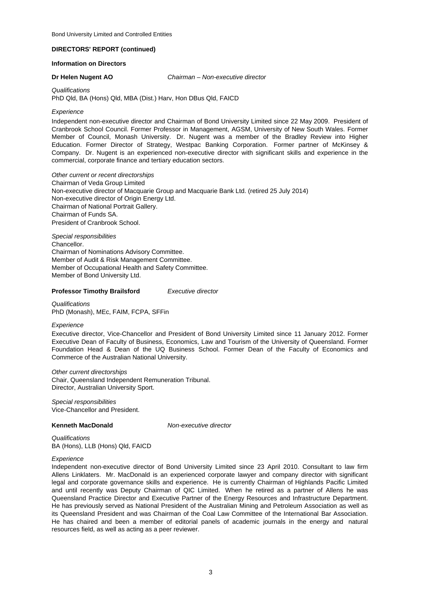#### **Information on Directors**

**Dr Helen Nugent AO** *Chairman – Non-executive director*

*Qualifications*

PhD Qld, BA (Hons) Qld, MBA (Dist.) Harv, Hon DBus Qld, FAICD

#### *Experience*

Independent non-executive director and Chairman of Bond University Limited since 22 May 2009. President of Cranbrook School Council. Former Professor in Management, AGSM, University of New South Wales. Former Member of Council, Monash University. Dr. Nugent was a member of the Bradley Review into Higher Education. Former Director of Strategy, Westpac Banking Corporation. Former partner of McKinsey & Company. Dr. Nugent is an experienced non-executive director with significant skills and experience in the commercial, corporate finance and tertiary education sectors.

President of Cranbrook School. *Other current or recent directorships* Non-executive director of Macquarie Group and Macquarie Bank Ltd. (retired 25 July 2014) Non-executive director of Origin Energy Ltd. Chairman of National Portrait Gallery. Chairman of Funds SA. Chairman of Veda Group Limited

Member of Bond University Ltd. *Special responsibilities* Chancellor. Chairman of Nominations Advisory Committee. Member of Audit & Risk Management Committee. Member of Occupational Health and Safety Committee.

#### **Professor Timothy Brailsford** *Executive director*

*Qualifications* PhD (Monash), MEc, FAIM, FCPA, SFFin

#### *Experience*

Executive director, Vice-Chancellor and President of Bond University Limited since 11 January 2012. Former Executive Dean of Faculty of Business, Economics, Law and Tourism of the University of Queensland. Former Foundation Head & Dean of the UQ Business School. Former Dean of the Faculty of Economics and Commerce of the Australian National University.

*Other current directorships* Chair, Queensland Independent Remuneration Tribunal. Director, Australian University Sport.

*Special responsibilities* Vice-Chancellor and President.

**Kenneth MacDonald** *Non-executive director*

*Qualifications* BA (Hons), LLB (Hons) Qld, FAICD

#### *Experience*

Independent non-executive director of Bond University Limited since 23 April 2010. Consultant to law firm Allens Linklaters. Mr. MacDonald is an experienced corporate lawyer and company director with significant legal and corporate governance skills and experience. He is currently Chairman of Highlands Pacific Limited and until recently was Deputy Chairman of QIC Limited. When he retired as a partner of Allens he was Queensland Practice Director and Executive Partner of the Energy Resources and Infrastructure Department. He has previously served as National President of the Australian Mining and Petroleum Association as well as its Queensland President and was Chairman of the Coal Law Committee of the International Bar Association. He has chaired and been a member of editorial panels of academic journals in the energy and natural resources field, as well as acting as a peer reviewer.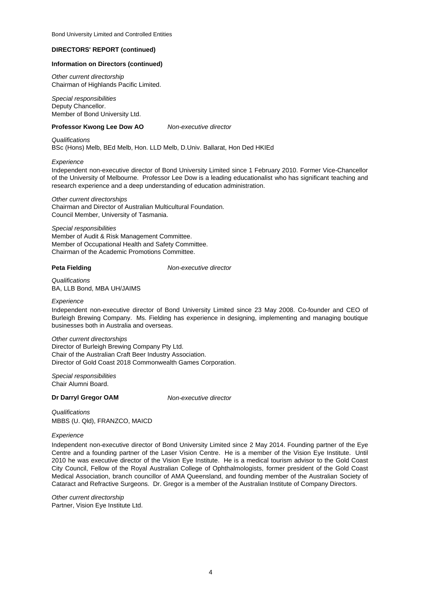#### **Information on Directors (continued)**

*Other current directorship* Chairman of Highlands Pacific Limited.

Deputy Chancellor. Member of Bond University Ltd. *Special responsibilities*

#### **Professor Kwong Lee Dow AO** *Non-executive director*

*Qualifications* BSc (Hons) Melb, BEd Melb, Hon. LLD Melb, D.Univ. Ballarat, Hon Ded HKIEd

#### *Experience*

Independent non-executive director of Bond University Limited since 1 February 2010. Former Vice-Chancellor of the University of Melbourne. Professor Lee Dow is a leading educationalist who has significant teaching and research experience and a deep understanding of education administration.

*Other current directorships* Chairman and Director of Australian Multicultural Foundation. Council Member, University of Tasmania.

#### *Special responsibilities*

Member of Audit & Risk Management Committee. Member of Occupational Health and Safety Committee. Chairman of the Academic Promotions Committee.

#### **Peta Fielding**

*Non-executive director*

*Qualifications* BA, LLB Bond, MBA UH/JAIMS

#### *Experience*

Independent non-executive director of Bond University Limited since 23 May 2008. Co-founder and CEO of Burleigh Brewing Company. Ms. Fielding has experience in designing, implementing and managing boutique businesses both in Australia and overseas.

#### *Other current directorships*

Director of Gold Coast 2018 Commonwealth Games Corporation. Chair of the Australian Craft Beer Industry Association. Director of Burleigh Brewing Company Pty Ltd.

*Special responsibilities* Chair Alumni Board.

**Dr Darryl Gregor OAM**

*Non-executive director*

*Qualifications* MBBS (U. Qld), FRANZCO, MAICD

#### *Experience*

Independent non-executive director of Bond University Limited since 2 May 2014. Founding partner of the Eye Centre and a founding partner of the Laser Vision Centre. He is a member of the Vision Eye Institute. Until 2010 he was executive director of the Vision Eye Institute. He is a medical tourism advisor to the Gold Coast City Council, Fellow of the Royal Australian College of Ophthalmologists, former president of the Gold Coast Medical Association, branch councillor of AMA Queensland, and founding member of the Australian Society of Cataract and Refractive Surgeons. Dr. Gregor is a member of the Australian Institute of Company Directors.

*Other current directorship* Partner, Vision Eye Institute Ltd.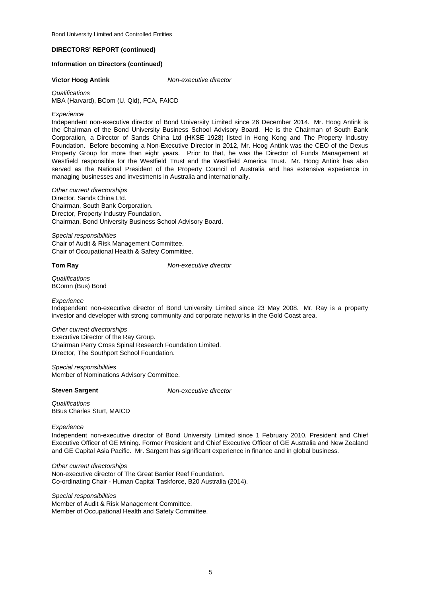#### **Information on Directors (continued)**

#### **Victor Hoog Antink**

*Non-executive director*

*Qualifications* MBA (Harvard), BCom (U. Qld), FCA, FAICD

#### *Experience*

Independent non-executive director of Bond University Limited since 26 December 2014. Mr. Hoog Antink is the Chairman of the Bond University Business School Advisory Board. He is the Chairman of South Bank Corporation, a Director of Sands China Ltd (HKSE 1928) listed in Hong Kong and The Property Industry Foundation. Before becoming a Non-Executive Director in 2012, Mr. Hoog Antink was the CEO of the Dexus Property Group for more than eight years. Prior to that, he was the Director of Funds Management at Westfield responsible for the Westfield Trust and the Westfield America Trust. Mr. Hoog Antink has also served as the National President of the Property Council of Australia and has extensive experience in managing businesses and investments in Australia and internationally.

Director, Property Industry Foundation. Chairman, Bond University Business School Advisory Board. Chairman, South Bank Corporation. *Other current directorships* Director, Sands China Ltd.

*Special responsibilities* Chair of Occupational Health & Safety Committee. Chair of Audit & Risk Management Committee.

#### **Tom Ray**

*Non-executive director*

*Qualifications* BComn (Bus) Bond

*Experience*

Independent non-executive director of Bond University Limited since 23 May 2008. Mr. Ray is a property investor and developer with strong community and corporate networks in the Gold Coast area.

*Other current directorships*

Executive Director of the Ray Group. Chairman Perry Cross Spinal Research Foundation Limited. Director, The Southport School Foundation.

*Special responsibilities* Member of Nominations Advisory Committee.

#### **Steven Sargent**

*Non-executive director*

*Qualifications* BBus Charles Sturt, MAICD

#### *Experience*

Independent non-executive director of Bond University Limited since 1 February 2010. President and Chief Executive Officer of GE Mining. Former President and Chief Executive Officer of GE Australia and New Zealand and GE Capital Asia Pacific. Mr. Sargent has significant experience in finance and in global business.

Non-executive director of The Great Barrier Reef Foundation. *Other current directorships*

Co-ordinating Chair - Human Capital Taskforce, B20 Australia (2014).

*Special responsibilities* Member of Audit & Risk Management Committee. Member of Occupational Health and Safety Committee.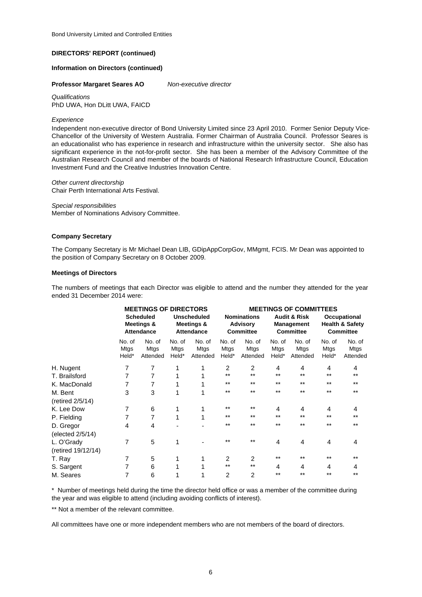#### **Information on Directors (continued)**

#### **Professor Margaret Seares AO**

*Non-executive director*

*Qualifications* PhD UWA, Hon DLitt UWA, FAICD

#### *Experience*

Independent non-executive director of Bond University Limited since 23 April 2010. Former Senior Deputy Vice-Chancellor of the University of Western Australia. Former Chairman of Australia Council. Professor Seares is an educationalist who has experience in research and infrastructure within the university sector. She also has significant experience in the not-for-profit sector. She has been a member of the Advisory Committee of the Australian Research Council and member of the boards of National Research Infrastructure Council, Education Investment Fund and the Creative Industries Innovation Centre.

*Other current directorship*

Chair Perth International Arts Festival.

*Special responsibilities* Member of Nominations Advisory Committee.

### **Company Secretary**

The Company Secretary is Mr Michael Dean LIB, GDipAppCorpGov, MMgmt, FCIS. Mr Dean was appointed to the position of Company Secretary on 8 October 2009.

#### **Meetings of Directors**

The numbers of meetings that each Director was eligible to attend and the number they attended for the year ended 31 December 2014 were:

|                     | <b>MEETINGS OF DIRECTORS</b>                                   |                            |                                                                  |                            | <b>MEETINGS OF COMMITTEES</b>                             |                            |                                                                  |                            |                                                                       |                            |
|---------------------|----------------------------------------------------------------|----------------------------|------------------------------------------------------------------|----------------------------|-----------------------------------------------------------|----------------------------|------------------------------------------------------------------|----------------------------|-----------------------------------------------------------------------|----------------------------|
|                     | <b>Scheduled</b><br><b>Meetings &amp;</b><br><b>Attendance</b> |                            | <b>Unscheduled</b><br><b>Meetings &amp;</b><br><b>Attendance</b> |                            | <b>Nominations</b><br><b>Advisory</b><br><b>Committee</b> |                            | <b>Audit &amp; Risk</b><br><b>Management</b><br><b>Committee</b> |                            | <b>Occupational</b><br><b>Health &amp; Safety</b><br><b>Committee</b> |                            |
|                     | No. of<br>Mtgs<br>Held*                                        | No. of<br>Mtgs<br>Attended | No. of<br>Mtgs<br>Held*                                          | No. of<br>Mtgs<br>Attended | No. of<br>Mtgs<br>Held*                                   | No. of<br>Mtgs<br>Attended | No. of<br>Mtgs<br>Held*                                          | No. of<br>Mtgs<br>Attended | No. of<br>Mtgs<br>Held*                                               | No. of<br>Mtgs<br>Attended |
| H. Nugent           | 7                                                              | 7                          |                                                                  |                            | 2                                                         | $\overline{2}$             | 4                                                                | 4                          | 4                                                                     | 4                          |
| T. Brailsford       | 7                                                              | 7                          |                                                                  |                            | $***$                                                     | $***$                      | $***$                                                            | $***$                      | $***$                                                                 | $***$                      |
| K. MacDonald        | 7                                                              | 7                          |                                                                  |                            | $***$                                                     | $***$                      | $***$                                                            | $***$                      | $***$                                                                 | $***$                      |
| M. Bent             | 3                                                              | 3                          |                                                                  |                            | $***$                                                     | $***$                      | $***$                                                            | $***$                      | $***$                                                                 | $***$                      |
| (retired 2/5/14)    |                                                                |                            |                                                                  |                            |                                                           |                            |                                                                  |                            |                                                                       |                            |
| K. Lee Dow          | 7                                                              | 6                          |                                                                  |                            | $***$                                                     | **                         | 4                                                                | 4                          | 4                                                                     | 4                          |
| P. Fielding         | 7                                                              | 7                          |                                                                  |                            | $***$                                                     | $***$                      | $***$                                                            | $***$                      | $***$                                                                 | $***$                      |
| D. Gregor           | 4                                                              | 4                          |                                                                  |                            | $***$                                                     | $***$                      | $***$                                                            | $***$                      | $***$                                                                 | $***$                      |
| (elected $2/5/14$ ) |                                                                |                            |                                                                  |                            |                                                           |                            |                                                                  |                            |                                                                       |                            |
| L. O'Grady          | 7                                                              | 5                          |                                                                  |                            | $***$                                                     | $***$                      | 4                                                                | 4                          | 4                                                                     | 4                          |
| (retired 19/12/14)  |                                                                |                            |                                                                  |                            |                                                           |                            |                                                                  |                            |                                                                       |                            |
| T. Ray              | 7                                                              | 5                          |                                                                  |                            | 2                                                         | 2                          | $***$                                                            | $***$                      | $***$                                                                 | **                         |
| S. Sargent          | 7                                                              | 6                          |                                                                  |                            | $***$                                                     | **                         | 4                                                                | 4                          | 4                                                                     | 4                          |
| M. Seares           | 7                                                              | 6                          |                                                                  |                            | 2                                                         | $\overline{2}$             | $***$                                                            | $***$                      | **                                                                    | $***$                      |

\* Number of meetings held during the time the director held office or was a member of the committee during the year and was eligible to attend (including avoiding conflicts of interest).

\*\* Not a member of the relevant committee.

All committees have one or more independent members who are not members of the board of directors.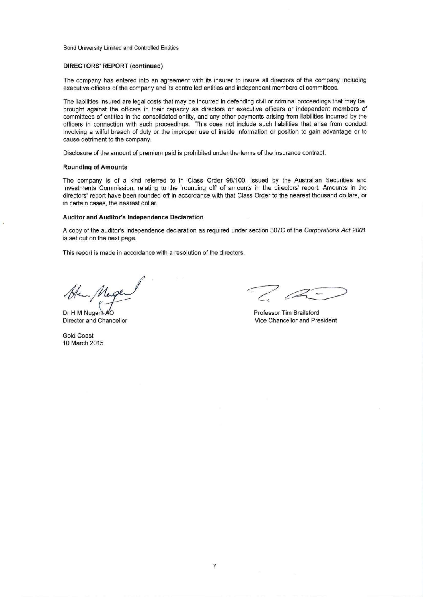#### DIRECTORS' REPORT (continued)

The company has entered into an agreement with its insurer to insure all directors of the company including executive officers of the company and its controlled entities and independent members of committees.

The liabilities insured are legal costs that may be incurred in defending civil or criminal proceedings that may be brought against the officers in their capacity as directors or executive officers or independent members of committees of entities in the consolidated entity, and any other payments arising from liabilities incurred by the officers in connection with such proceedings. This does not include such liabilities that arise from conduct involving a wilful breach of duty or the improper use of inside information or position to gain advantage or to cause detriment to the company.

Disclosure of the amount of premium paid is prohibited under the terms of the insurance contract.

#### Rounding of Amounts

The company is of a kind referred to in Class Order 98/100, issued by the Australian Securities and Investments Commission, relating to the 'rounding off of amounts in the directors' report. Amounts in the directors' report have been rounded off in accordance with that Class Order to the nearest thousand dollars, or in certain cases, the nearest dollar.

#### Auditor and Auditor's Independence Declaration

A copy of the auditor's independence declaration as required under section 307C of the Corporations Act 2001 is set out on the next page.

This report is made in accordance with a resolution of the directors.

He. Muse

Dr H M Nugent AO

Professor Tim Brailsford Director and Chancellor **Vice Chancellor and President** 

Gold Coast 10 March 2015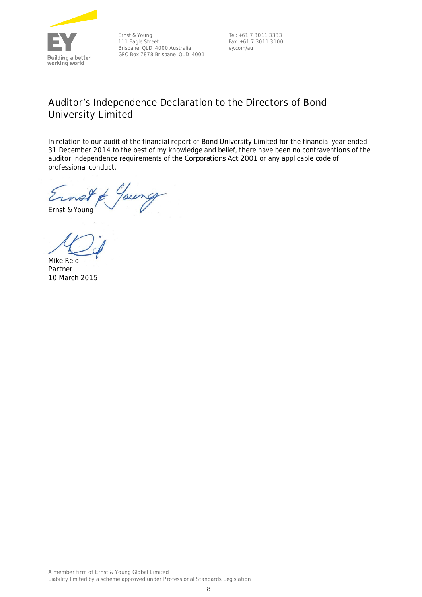

Ernst & Young 111 Eagle Street Brisbane QLD 4000 Australia GPO Box 7878 Brisbane QLD 4001

Tel: +61 7 3011 3333 Fax: +61 7 3011 3100 ey.com/au

# **Auditor's Independence Declaration to the Directors of Bond University Limited**

In relation to our audit of the financial report of Bond University Limited for the financial year ended 31 December 2014 to the best of my knowledge and belief, there have been no contraventions of the auditor independence requirements of the *Corporations Act 2001* or any applicable code of professional conduct.

sung Ernst & Young

Mike Reid Partner 10 March 2015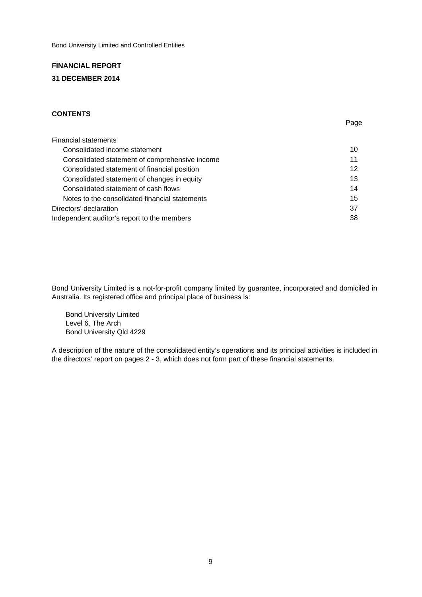## **FINANCIAL REPORT 31 DECEMBER 2014**

### **CONTENTS**

| Financial statements                           |    |
|------------------------------------------------|----|
| Consolidated income statement                  | 10 |
| Consolidated statement of comprehensive income | 11 |
| Consolidated statement of financial position   | 12 |
| Consolidated statement of changes in equity    | 13 |
| Consolidated statement of cash flows           | 14 |
| Notes to the consolidated financial statements | 15 |
| Directors' declaration                         | 37 |
| Independent auditor's report to the members    | 38 |
|                                                |    |

Page

Bond University Limited is a not-for-profit company limited by guarantee, incorporated and domiciled in Australia. Its registered office and principal place of business is:

 Bond University Limited Level 6, The Arch Bond University Qld 4229

A description of the nature of the consolidated entity's operations and its principal activities is included in the directors' report on pages 2 - 3, which does not form part of these financial statements.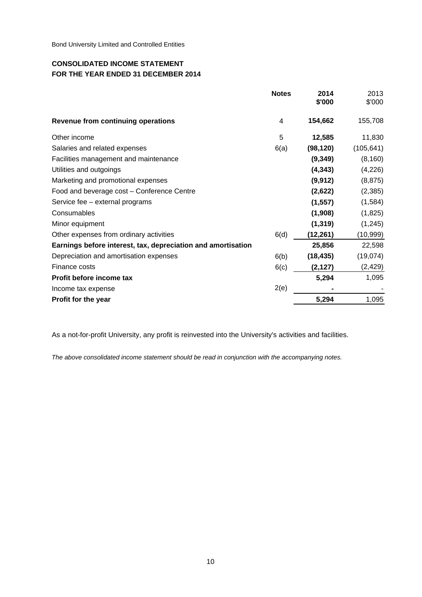### **CONSOLIDATED INCOME STATEMENT FOR THE YEAR ENDED 31 DECEMBER 2014**

|                                                              | <b>Notes</b> | 2014<br>\$'000 | 2013<br>\$'000 |
|--------------------------------------------------------------|--------------|----------------|----------------|
| Revenue from continuing operations                           | 4            | 154,662        | 155,708        |
| Other income                                                 | 5            | 12,585         | 11,830         |
| Salaries and related expenses                                | 6(a)         | (98, 120)      | (105, 641)     |
| Facilities management and maintenance                        |              | (9, 349)       | (8, 160)       |
| Utilities and outgoings                                      |              | (4, 343)       | (4,226)        |
| Marketing and promotional expenses                           |              | (9, 912)       | (8, 875)       |
| Food and beverage cost - Conference Centre                   |              | (2,622)        | (2,385)        |
| Service fee - external programs                              |              | (1, 557)       | (1,584)        |
| Consumables                                                  |              | (1,908)        | (1,825)        |
| Minor equipment                                              |              | (1, 319)       | (1,245)        |
| Other expenses from ordinary activities                      | 6(d)         | (12,261)       | (10,999)       |
| Earnings before interest, tax, depreciation and amortisation |              | 25,856         | 22,598         |
| Depreciation and amortisation expenses                       | 6(b)         | (18, 435)      | (19,074)       |
| Finance costs                                                | 6(c)         | (2, 127)       | (2, 429)       |
| Profit before income tax                                     |              | 5,294          | 1,095          |
| Income tax expense                                           | 2(e)         |                |                |
| Profit for the year                                          |              | 5,294          | 1,095          |

As a not-for-profit University, any profit is reinvested into the University's activities and facilities.

*The above consolidated income statement should be read in conjunction with the accompanying notes.*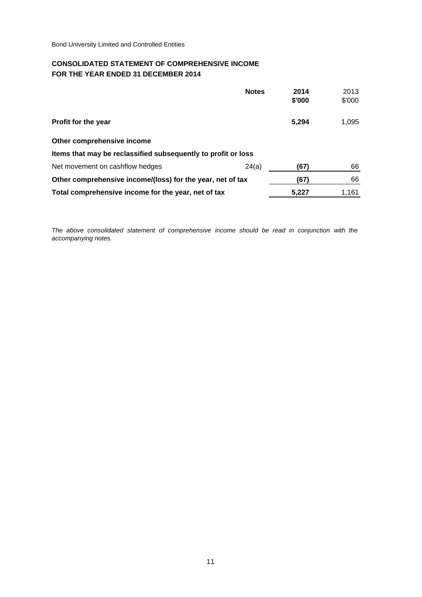### **CONSOLIDATED STATEMENT OF COMPREHENSIVE INCOME FOR THE YEAR ENDED 31 DECEMBER 2014**

|                                                               | <b>Notes</b> | 2014<br>\$'000 | 2013<br>\$'000 |
|---------------------------------------------------------------|--------------|----------------|----------------|
| Profit for the year                                           |              | 5,294          | 1,095          |
| Other comprehensive income                                    |              |                |                |
| Items that may be reclassified subsequently to profit or loss |              |                |                |
| Net movement on cashflow hedges                               | 24(a)        | (67)           | 66             |
| Other comprehensive income/(loss) for the year, net of tax    |              | (67)           | 66             |
| Total comprehensive income for the year, net of tax           |              | 5,227          | 1,161          |

*The above consolidated statement of comprehensive income should be read in conjunction with the accompanying notes.*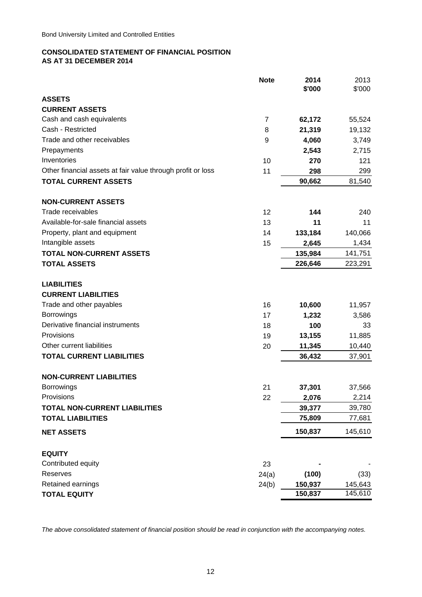### **CONSOLIDATED STATEMENT OF FINANCIAL POSITION AS AT 31 DECEMBER 2014**

|                                                             | <b>Note</b> | 2014<br>\$'000 | 2013<br>\$'000 |
|-------------------------------------------------------------|-------------|----------------|----------------|
| <b>ASSETS</b>                                               |             |                |                |
| <b>CURRENT ASSETS</b>                                       |             |                |                |
| Cash and cash equivalents                                   | 7           | 62,172         | 55,524         |
| Cash - Restricted                                           | 8           | 21,319         | 19,132         |
| Trade and other receivables                                 | 9           | 4,060          | 3,749          |
| Prepayments                                                 |             | 2,543          | 2,715          |
| Inventories                                                 | 10          | 270            | 121            |
| Other financial assets at fair value through profit or loss | 11          | 298            | 299            |
| <b>TOTAL CURRENT ASSETS</b>                                 |             | 90,662         | 81,540         |
| <b>NON-CURRENT ASSETS</b>                                   |             |                |                |
| Trade receivables                                           | 12          | 144            | 240            |
| Available-for-sale financial assets                         | 13          | 11             | 11             |
| Property, plant and equipment                               | 14          | 133,184        | 140,066        |
| Intangible assets                                           | 15          | 2,645          | 1,434          |
| <b>TOTAL NON-CURRENT ASSETS</b>                             |             | 135,984        | 141,751        |
| <b>TOTAL ASSETS</b>                                         |             | 226,646        | 223,291        |
| <b>LIABILITIES</b>                                          |             |                |                |
| <b>CURRENT LIABILITIES</b>                                  |             |                |                |
| Trade and other payables                                    | 16          | 10,600         | 11,957         |
| <b>Borrowings</b>                                           | 17          | 1,232          | 3,586          |
| Derivative financial instruments                            | 18          | 100            | 33             |
| Provisions                                                  | 19          | 13,155         | 11,885         |
| Other current liabilities                                   | 20          | 11,345         | 10,440         |
| <b>TOTAL CURRENT LIABILITIES</b>                            |             | 36,432         | 37,901         |
| <b>NON-CURRENT LIABILITIES</b>                              |             |                |                |
| <b>Borrowings</b>                                           | 21          | 37,301         | 37,566         |
| Provisions                                                  | 22          | 2,076          | 2,214          |
| <b>TOTAL NON-CURRENT LIABILITIES</b>                        |             | 39,377         | 39,780         |
| <b>TOTAL LIABILITIES</b>                                    |             | 75,809         | 77,681         |
| <b>NET ASSETS</b>                                           |             | 150,837        | 145,610        |
| <b>EQUITY</b>                                               |             |                |                |
| Contributed equity                                          | 23          |                |                |
| Reserves                                                    | 24(a)       | (100)          | (33)           |
| Retained earnings                                           | 24(b)       | 150,937        | 145,643        |
| <b>TOTAL EQUITY</b>                                         |             | 150,837        | 145,610        |

*The above consolidated statement of financial position should be read in conjunction with the accompanying notes.*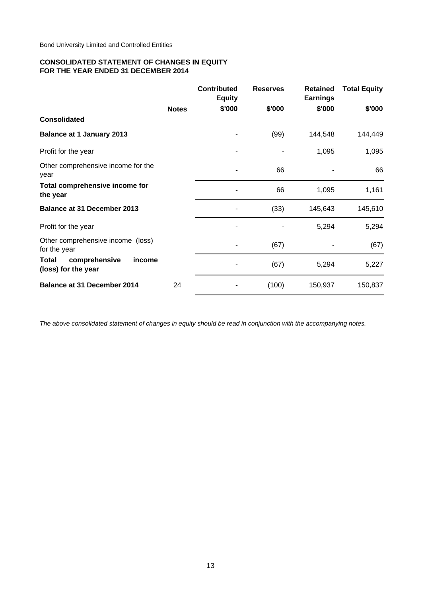### **CONSOLIDATED STATEMENT OF CHANGES IN EQUITY FOR THE YEAR ENDED 31 DECEMBER 2014**

|                                                         |              | <b>Contributed</b><br><b>Equity</b> | <b>Reserves</b> | <b>Retained</b><br><b>Earnings</b> | <b>Total Equity</b> |
|---------------------------------------------------------|--------------|-------------------------------------|-----------------|------------------------------------|---------------------|
|                                                         | <b>Notes</b> | \$'000                              | \$'000          | \$'000                             | \$'000              |
| <b>Consolidated</b>                                     |              |                                     |                 |                                    |                     |
| <b>Balance at 1 January 2013</b>                        |              |                                     | (99)            | 144,548                            | 144,449             |
| Profit for the year                                     |              |                                     |                 | 1,095                              | 1,095               |
| Other comprehensive income for the<br>year              |              |                                     | 66              |                                    | 66                  |
| Total comprehensive income for<br>the year              |              |                                     | 66              | 1,095                              | 1,161               |
| <b>Balance at 31 December 2013</b>                      |              |                                     | (33)            | 145,643                            | 145,610             |
| Profit for the year                                     |              |                                     |                 | 5,294                              | 5,294               |
| Other comprehensive income (loss)<br>for the year       |              |                                     | (67)            |                                    | (67)                |
| comprehensive<br>Total<br>income<br>(loss) for the year |              |                                     | (67)            | 5,294                              | 5,227               |
| <b>Balance at 31 December 2014</b>                      | 24           |                                     | (100)           | 150,937                            | 150,837             |

*The above consolidated statement of changes in equity should be read in conjunction with the accompanying notes.*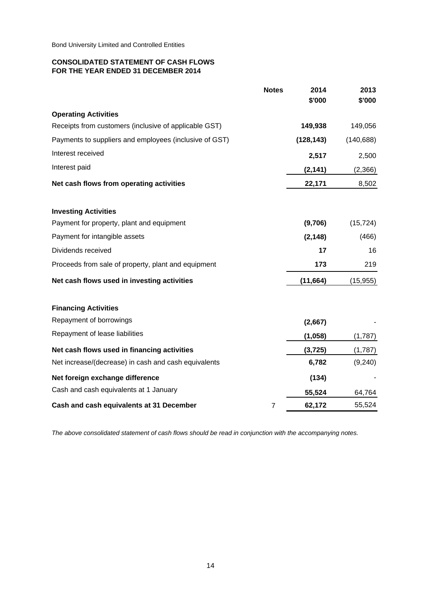### **CONSOLIDATED STATEMENT OF CASH FLOWS FOR THE YEAR ENDED 31 DECEMBER 2014**

|                                                        | <b>Notes</b> | 2014<br>\$'000 | 2013<br>\$'000 |
|--------------------------------------------------------|--------------|----------------|----------------|
| <b>Operating Activities</b>                            |              |                |                |
| Receipts from customers (inclusive of applicable GST)  |              | 149,938        | 149,056        |
| Payments to suppliers and employees (inclusive of GST) |              | (128, 143)     | (140, 688)     |
| Interest received                                      |              |                |                |
|                                                        |              | 2,517          | 2,500          |
| Interest paid                                          |              | (2, 141)       | (2,366)        |
| Net cash flows from operating activities               |              | 22,171         | 8,502          |
| <b>Investing Activities</b>                            |              |                |                |
| Payment for property, plant and equipment              |              | (9,706)        | (15, 724)      |
| Payment for intangible assets                          |              | (2, 148)       | (466)          |
| Dividends received                                     |              | 17             | 16             |
| Proceeds from sale of property, plant and equipment    |              | 173            | 219            |
| Net cash flows used in investing activities            |              | (11, 664)      | (15, 955)      |
| <b>Financing Activities</b>                            |              |                |                |
| Repayment of borrowings                                |              | (2,667)        |                |
| Repayment of lease liabilities                         |              | (1,058)        | (1,787)        |
| Net cash flows used in financing activities            |              | (3, 725)       | (1,787)        |
| Net increase/(decrease) in cash and cash equivalents   |              | 6,782          | (9, 240)       |
| Net foreign exchange difference                        |              | (134)          |                |
| Cash and cash equivalents at 1 January                 |              | 55,524         | 64,764         |
| Cash and cash equivalents at 31 December               | 7            | 62,172         | 55,524         |

*The above consolidated statement of cash flows should be read in conjunction with the accompanying notes.*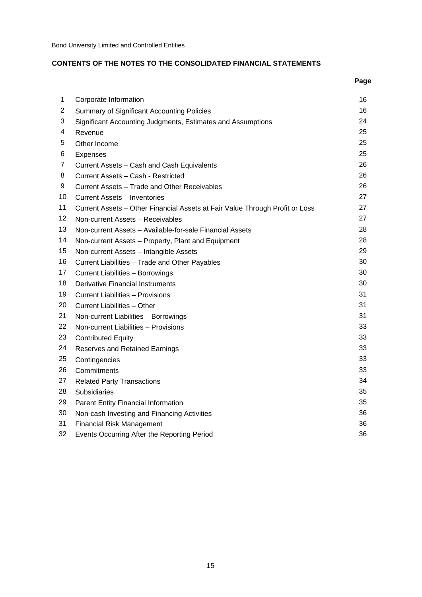### **CONTENTS OF THE NOTES TO THE CONSOLIDATED FINANCIAL STATEMENTS**

|                         |                                                                              | Page |
|-------------------------|------------------------------------------------------------------------------|------|
| 1                       | Corporate Information                                                        | 16   |
| $\overline{\mathbf{c}}$ | <b>Summary of Significant Accounting Policies</b>                            | 16   |
| 3                       | Significant Accounting Judgments, Estimates and Assumptions                  | 24   |
| 4                       | Revenue                                                                      | 25   |
| 5                       | Other Income                                                                 | 25   |
| 6                       | Expenses                                                                     | 25   |
| $\overline{7}$          | Current Assets - Cash and Cash Equivalents                                   | 26   |
| 8                       | Current Assets - Cash - Restricted                                           | 26   |
| 9                       | Current Assets - Trade and Other Receivables                                 | 26   |
| 10                      | <b>Current Assets - Inventories</b>                                          | 27   |
| 11                      | Current Assets - Other Financial Assets at Fair Value Through Profit or Loss | 27   |
| 12                      | Non-current Assets - Receivables                                             | 27   |
| 13                      | Non-current Assets - Available-for-sale Financial Assets                     | 28   |
| 14                      | Non-current Assets - Property, Plant and Equipment                           | 28   |
| 15                      | Non-current Assets - Intangible Assets                                       | 29   |
| 16                      | Current Liabilities - Trade and Other Payables                               | 30   |
| 17                      | Current Liabilities - Borrowings                                             | 30   |
| 18                      | <b>Derivative Financial Instruments</b>                                      | 30   |
| 19                      | <b>Current Liabilities - Provisions</b>                                      | 31   |
| 20                      | <b>Current Liabilities - Other</b>                                           | 31   |
| 21                      | Non-current Liabilities - Borrowings                                         | 31   |
| 22                      | Non-current Liabilities - Provisions                                         | 33   |
| 23                      | <b>Contributed Equity</b>                                                    | 33   |
| 24                      | Reserves and Retained Earnings                                               | 33   |
| 25                      | Contingencies                                                                | 33   |
| 26                      | Commitments                                                                  | 33   |
| 27                      | <b>Related Party Transactions</b>                                            | 34   |
| 28                      | Subsidiaries                                                                 | 35   |
| 29                      | Parent Entity Financial Information                                          | 35   |
| 30                      | Non-cash Investing and Financing Activities                                  | 36   |
| 31                      | <b>Financial Risk Management</b>                                             | 36   |
| 32                      | Events Occurring After the Reporting Period                                  | 36   |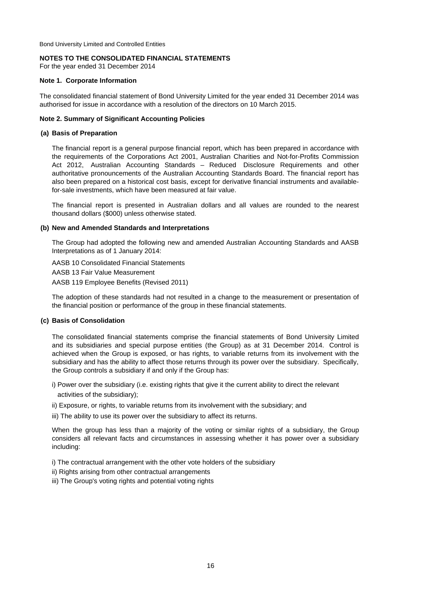### **NOTES TO THE CONSOLIDATED FINANCIAL STATEMENTS**

For the year ended 31 December 2014

#### **Note 1. Corporate Information**

The consolidated financial statement of Bond University Limited for the year ended 31 December 2014 was authorised for issue in accordance with a resolution of the directors on 10 March 2015.

#### **Note 2. Summary of Significant Accounting Policies**

#### **(a) Basis of Preparation**

The financial report is a general purpose financial report, which has been prepared in accordance with the requirements of the Corporations Act 2001, Australian Charities and Not-for-Profits Commission Act 2012, Australian Accounting Standards – Reduced Disclosure Requirements and other authoritative pronouncements of the Australian Accounting Standards Board. The financial report has also been prepared on a historical cost basis, except for derivative financial instruments and availablefor-sale investments, which have been measured at fair value.

The financial report is presented in Australian dollars and all values are rounded to the nearest thousand dollars (\$000) unless otherwise stated.

#### **(b) New and Amended Standards and Interpretations**

The Group had adopted the following new and amended Australian Accounting Standards and AASB Interpretations as of 1 January 2014:

AASB 10 Consolidated Financial Statements AASB 119 Employee Benefits (Revised 2011) AASB 13 Fair Value Measurement

The adoption of these standards had not resulted in a change to the measurement or presentation of the financial position or performance of the group in these financial statements.

#### **(c) Basis of Consolidation**

The consolidated financial statements comprise the financial statements of Bond University Limited and its subsidiaries and special purpose entities (the Group) as at 31 December 2014. Control is achieved when the Group is exposed, or has rights, to variable returns from its involvement with the subsidiary and has the ability to affect those returns through its power over the subsidiary. Specifically, the Group controls a subsidiary if and only if the Group has:

- activities of the subsidiary); i) Power over the subsidiary (i.e. existing rights that give it the current ability to direct the relevant
- ii) Exposure, or rights, to variable returns from its involvement with the subsidiary; and

iii) The ability to use its power over the subsidiary to affect its returns.

When the group has less than a majority of the voting or similar rights of a subsidiary, the Group considers all relevant facts and circumstances in assessing whether it has power over a subsidiary including:

i) The contractual arrangement with the other vote holders of the subsidiary

- ii) Rights arising from other contractual arrangements
- iii) The Group's voting rights and potential voting rights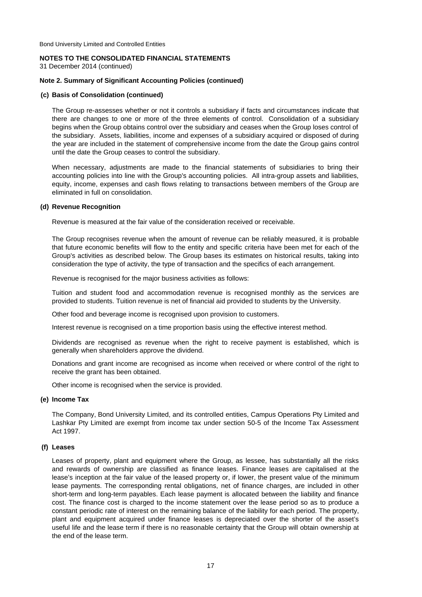### **NOTES TO THE CONSOLIDATED FINANCIAL STATEMENTS**

31 December 2014 (continued)

#### **Note 2. Summary of Significant Accounting Policies (continued)**

#### **(c) Basis of Consolidation (continued)**

The Group re-assesses whether or not it controls a subsidiary if facts and circumstances indicate that there are changes to one or more of the three elements of control. Consolidation of a subsidiary begins when the Group obtains control over the subsidiary and ceases when the Group loses control of the subsidiary. Assets, liabilities, income and expenses of a subsidiary acquired or disposed of during the year are included in the statement of comprehensive income from the date the Group gains control until the date the Group ceases to control the subsidiary.

When necessary, adjustments are made to the financial statements of subsidiaries to bring their accounting policies into line with the Group's accounting policies. All intra-group assets and liabilities, equity, income, expenses and cash flows relating to transactions between members of the Group are eliminated in full on consolidation.

#### **(d) Revenue Recognition**

Revenue is measured at the fair value of the consideration received or receivable.

The Group recognises revenue when the amount of revenue can be reliably measured, it is probable that future economic benefits will flow to the entity and specific criteria have been met for each of the Group's activities as described below. The Group bases its estimates on historical results, taking into consideration the type of activity, the type of transaction and the specifics of each arrangement.

Revenue is recognised for the major business activities as follows:

Tuition and student food and accommodation revenue is recognised monthly as the services are provided to students. Tuition revenue is net of financial aid provided to students by the University.

Other food and beverage income is recognised upon provision to customers.

Interest revenue is recognised on a time proportion basis using the effective interest method.

Dividends are recognised as revenue when the right to receive payment is established, which is generally when shareholders approve the dividend.

Donations and grant income are recognised as income when received or where control of the right to receive the grant has been obtained.

Other income is recognised when the service is provided.

#### **(e) Income Tax**

The Company, Bond University Limited, and its controlled entities, Campus Operations Pty Limited and Lashkar Pty Limited are exempt from income tax under section 50-5 of the Income Tax Assessment Act 1997.

#### **(f) Leases**

Leases of property, plant and equipment where the Group, as lessee, has substantially all the risks and rewards of ownership are classified as finance leases. Finance leases are capitalised at the lease's inception at the fair value of the leased property or, if lower, the present value of the minimum lease payments. The corresponding rental obligations, net of finance charges, are included in other short-term and long-term payables. Each lease payment is allocated between the liability and finance cost. The finance cost is charged to the income statement over the lease period so as to produce a constant periodic rate of interest on the remaining balance of the liability for each period. The property, plant and equipment acquired under finance leases is depreciated over the shorter of the asset's useful life and the lease term if there is no reasonable certainty that the Group will obtain ownership at the end of the lease term.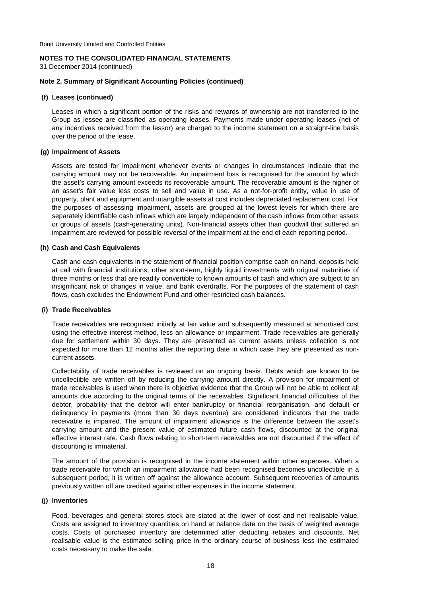31 December 2014 (continued)

#### **Note 2. Summary of Significant Accounting Policies (continued)**

#### **(f) Leases (continued)**

Leases in which a significant portion of the risks and rewards of ownership are not transferred to the Group as lessee are classified as operating leases. Payments made under operating leases (net of any incentives received from the lessor) are charged to the income statement on a straight-line basis over the period of the lease.

### **(g) Impairment of Assets**

Assets are tested for impairment whenever events or changes in circumstances indicate that the carrying amount may not be recoverable. An impairment loss is recognised for the amount by which the asset's carrying amount exceeds its recoverable amount. The recoverable amount is the higher of an asset's fair value less costs to sell and value in use. As a not-for-profit entity, value in use of property, plant and equipment and intangible assets at cost includes depreciated replacement cost. For the purposes of assessing impairment, assets are grouped at the lowest levels for which there are separately identifiable cash inflows which are largely independent of the cash inflows from other assets or groups of assets (cash-generating units). Non-financial assets other than goodwill that suffered an impairment are reviewed for possible reversal of the impairment at the end of each reporting period.

#### **(h) Cash and Cash Equivalents**

Cash and cash equivalents in the statement of financial position comprise cash on hand, deposits held at call with financial institutions, other short-term, highly liquid investments with original maturities of three months or less that are readily convertible to known amounts of cash and which are subject to an insignificant risk of changes in value, and bank overdrafts. For the purposes of the statement of cash flows, cash excludes the Endowment Fund and other restricted cash balances.

#### **(i) Trade Receivables**

Trade receivables are recognised initially at fair value and subsequently measured at amortised cost using the effective interest method, less an allowance or impairment. Trade receivables are generally due for settlement within 30 days. They are presented as current assets unless collection is not expected for more than 12 months after the reporting date in which case they are presented as noncurrent assets.

Collectability of trade receivables is reviewed on an ongoing basis. Debts which are known to be uncollectible are written off by reducing the carrying amount directly. A provision for impairment of trade receivables is used when there is objective evidence that the Group will not be able to collect all amounts due according to the original terms of the receivables. Significant financial difficulties of the debtor, probability that the debtor will enter bankruptcy or financial reorganisation, and default or delinquency in payments (more than 30 days overdue) are considered indicators that the trade receivable is impaired. The amount of impairment allowance is the difference between the asset's carrying amount and the present value of estimated future cash flows, discounted at the original effective interest rate. Cash flows relating to short-term receivables are not discounted if the effect of discounting is immaterial.

The amount of the provision is recognised in the income statement within other expenses. When a trade receivable for which an impairment allowance had been recognised becomes uncollectible in a subsequent period, it is written off against the allowance account. Subsequent recoveries of amounts previously written off are credited against other expenses in the income statement.

#### **(j) Inventories**

Food, beverages and general stores stock are stated at the lower of cost and net realisable value. Costs are assigned to inventory quantities on hand at balance date on the basis of weighted average costs. Costs of purchased inventory are determined after deducting rebates and discounts. Net realisable value is the estimated selling price in the ordinary course of business less the estimated costs necessary to make the sale.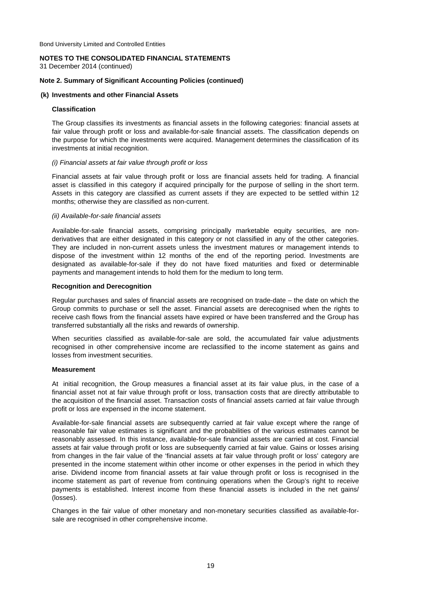31 December 2014 (continued)

### **Note 2. Summary of Significant Accounting Policies (continued)**

#### **(k) Investments and other Financial Assets**

#### **Classification**

The Group classifies its investments as financial assets in the following categories: financial assets at fair value through profit or loss and available-for-sale financial assets. The classification depends on the purpose for which the investments were acquired. Management determines the classification of its investments at initial recognition.

#### *(i) Financial assets at fair value through profit or loss*

Financial assets at fair value through profit or loss are financial assets held for trading. A financial asset is classified in this category if acquired principally for the purpose of selling in the short term. Assets in this category are classified as current assets if they are expected to be settled within 12 months; otherwise they are classified as non-current.

#### *(ii) Available-for-sale financial assets*

Available-for-sale financial assets, comprising principally marketable equity securities, are nonderivatives that are either designated in this category or not classified in any of the other categories. They are included in non-current assets unless the investment matures or management intends to dispose of the investment within 12 months of the end of the reporting period. Investments are designated as available-for-sale if they do not have fixed maturities and fixed or determinable payments and management intends to hold them for the medium to long term.

#### **Recognition and Derecognition**

Regular purchases and sales of financial assets are recognised on trade-date – the date on which the Group commits to purchase or sell the asset. Financial assets are derecognised when the rights to receive cash flows from the financial assets have expired or have been transferred and the Group has transferred substantially all the risks and rewards of ownership.

When securities classified as available-for-sale are sold, the accumulated fair value adjustments recognised in other comprehensive income are reclassified to the income statement as gains and losses from investment securities.

#### **Measurement**

At initial recognition, the Group measures a financial asset at its fair value plus, in the case of a financial asset not at fair value through profit or loss, transaction costs that are directly attributable to the acquisition of the financial asset. Transaction costs of financial assets carried at fair value through profit or loss are expensed in the income statement.

Available-for-sale financial assets are subsequently carried at fair value except where the range of reasonable fair value estimates is significant and the probabilities of the various estimates cannot be reasonably assessed. In this instance, available-for-sale financial assets are carried at cost. Financial assets at fair value through profit or loss are subsequently carried at fair value. Gains or losses arising from changes in the fair value of the 'financial assets at fair value through profit or loss' category are presented in the income statement within other income or other expenses in the period in which they arise. Dividend income from financial assets at fair value through profit or loss is recognised in the income statement as part of revenue from continuing operations when the Group's right to receive payments is established. Interest income from these financial assets is included in the net gains/ (losses).

Changes in the fair value of other monetary and non-monetary securities classified as available-forsale are recognised in other comprehensive income.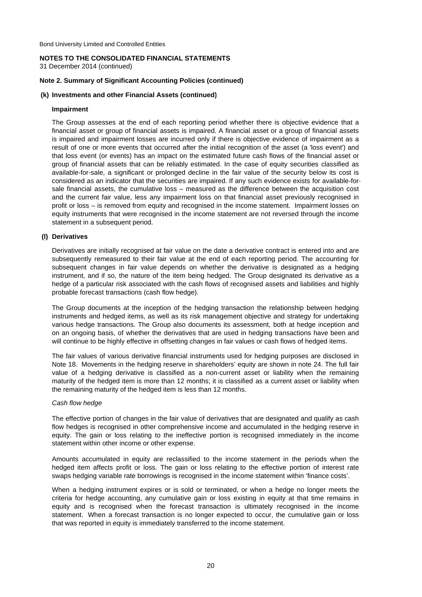#### **NOTES TO THE CONSOLIDATED FINANCIAL STATEMENTS** 31 December 2014 (continued)

#### **Note 2. Summary of Significant Accounting Policies (continued)**

#### **(k) Investments and other Financial Assets (continued)**

#### **Impairment**

The Group assesses at the end of each reporting period whether there is objective evidence that a financial asset or group of financial assets is impaired. A financial asset or a group of financial assets is impaired and impairment losses are incurred only if there is objective evidence of impairment as a result of one or more events that occurred after the initial recognition of the asset (a 'loss event') and that loss event (or events) has an impact on the estimated future cash flows of the financial asset or group of financial assets that can be reliably estimated. In the case of equity securities classified as available-for-sale, a significant or prolonged decline in the fair value of the security below its cost is considered as an indicator that the securities are impaired. If any such evidence exists for available-forsale financial assets, the cumulative loss – measured as the difference between the acquisition cost and the current fair value, less any impairment loss on that financial asset previously recognised in profit or loss – is removed from equity and recognised in the income statement. Impairment losses on equity instruments that were recognised in the income statement are not reversed through the income statement in a subsequent period.

#### **(l) Derivatives**

Derivatives are initially recognised at fair value on the date a derivative contract is entered into and are subsequently remeasured to their fair value at the end of each reporting period. The accounting for subsequent changes in fair value depends on whether the derivative is designated as a hedging instrument, and if so, the nature of the item being hedged. The Group designated its derivative as a hedge of a particular risk associated with the cash flows of recognised assets and liabilities and highly probable forecast transactions (cash flow hedge).

The Group documents at the inception of the hedging transaction the relationship between hedging instruments and hedged items, as well as its risk management objective and strategy for undertaking various hedge transactions. The Group also documents its assessment, both at hedge inception and on an ongoing basis, of whether the derivatives that are used in hedging transactions have been and will continue to be highly effective in offsetting changes in fair values or cash flows of hedged items.

The fair values of various derivative financial instruments used for hedging purposes are disclosed in Note 18. Movements in the hedging reserve in shareholders' equity are shown in note 24. The full fair value of a hedging derivative is classified as a non-current asset or liability when the remaining maturity of the hedged item is more than 12 months; it is classified as a current asset or liability when the remaining maturity of the hedged item is less than 12 months.

#### *Cash flow hedge*

The effective portion of changes in the fair value of derivatives that are designated and qualify as cash flow hedges is recognised in other comprehensive income and accumulated in the hedging reserve in equity. The gain or loss relating to the ineffective portion is recognised immediately in the income statement within other income or other expense.

Amounts accumulated in equity are reclassified to the income statement in the periods when the hedged item affects profit or loss. The gain or loss relating to the effective portion of interest rate swaps hedging variable rate borrowings is recognised in the income statement within 'finance costs'.

When a hedging instrument expires or is sold or terminated, or when a hedge no longer meets the criteria for hedge accounting, any cumulative gain or loss existing in equity at that time remains in equity and is recognised when the forecast transaction is ultimately recognised in the income statement. When a forecast transaction is no longer expected to occur, the cumulative gain or loss that was reported in equity is immediately transferred to the income statement.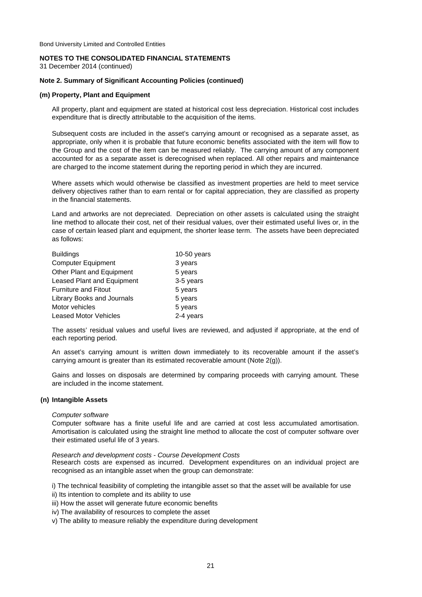### **NOTES TO THE CONSOLIDATED FINANCIAL STATEMENTS**

31 December 2014 (continued)

#### **Note 2. Summary of Significant Accounting Policies (continued)**

#### **(m) Property, Plant and Equipment**

All property, plant and equipment are stated at historical cost less depreciation. Historical cost includes expenditure that is directly attributable to the acquisition of the items.

Subsequent costs are included in the asset's carrying amount or recognised as a separate asset, as appropriate, only when it is probable that future economic benefits associated with the item will flow to the Group and the cost of the item can be measured reliably. The carrying amount of any component accounted for as a separate asset is derecognised when replaced. All other repairs and maintenance are charged to the income statement during the reporting period in which they are incurred.

Where assets which would otherwise be classified as investment properties are held to meet service delivery objectives rather than to earn rental or for capital appreciation, they are classified as property in the financial statements.

Land and artworks are not depreciated. Depreciation on other assets is calculated using the straight line method to allocate their cost, net of their residual values, over their estimated useful lives or, in the case of certain leased plant and equipment, the shorter lease term. The assets have been depreciated as follows:

| <b>Buildings</b>                  | 10-50 years |
|-----------------------------------|-------------|
| <b>Computer Equipment</b>         | 3 years     |
| Other Plant and Equipment         | 5 years     |
| <b>Leased Plant and Equipment</b> | 3-5 years   |
| <b>Furniture and Fitout</b>       | 5 years     |
| Library Books and Journals        | 5 years     |
| Motor vehicles                    | 5 years     |
| <b>Leased Motor Vehicles</b>      | 2-4 years   |

The assets' residual values and useful lives are reviewed, and adjusted if appropriate, at the end of each reporting period.

An asset's carrying amount is written down immediately to its recoverable amount if the asset's carrying amount is greater than its estimated recoverable amount (Note 2(g)).

Gains and losses on disposals are determined by comparing proceeds with carrying amount. These are included in the income statement.

#### **(n) Intangible Assets**

#### *Computer software*

Computer software has a finite useful life and are carried at cost less accumulated amortisation. Amortisation is calculated using the straight line method to allocate the cost of computer software over their estimated useful life of 3 years.

*Research and development costs - Course Development Costs*

Research costs are expensed as incurred. Development expenditures on an individual project are recognised as an intangible asset when the group can demonstrate:

i) The technical feasibility of completing the intangible asset so that the asset will be available for use ii) Its intention to complete and its ability to use

iii) How the asset will generate future economic benefits

iv) The availability of resources to complete the asset

v) The ability to measure reliably the expenditure during development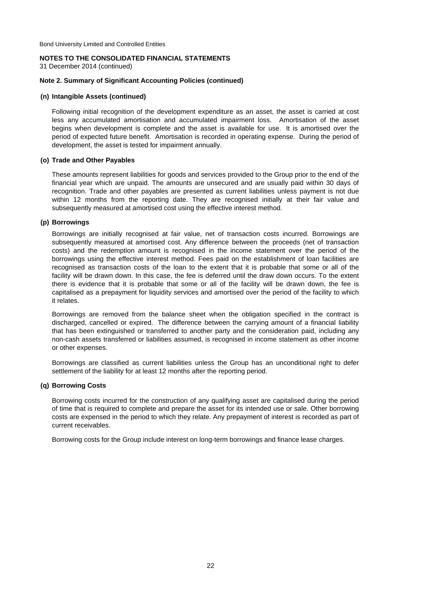### **NOTES TO THE CONSOLIDATED FINANCIAL STATEMENTS**

31 December 2014 (continued)

#### **Note 2. Summary of Significant Accounting Policies (continued)**

#### **(n) Intangible Assets (continued)**

Following initial recognition of the development expenditure as an asset, the asset is carried at cost less any accumulated amortisation and accumulated impairment loss. Amortisation of the asset begins when development is complete and the asset is available for use. It is amortised over the period of expected future benefit. Amortisation is recorded in operating expense. During the period of development, the asset is tested for impairment annually.

#### **(o) Trade and Other Payables**

These amounts represent liabilities for goods and services provided to the Group prior to the end of the financial year which are unpaid. The amounts are unsecured and are usually paid within 30 days of recognition. Trade and other payables are presented as current liabilities unless payment is not due within 12 months from the reporting date. They are recognised initially at their fair value and subsequently measured at amortised cost using the effective interest method.

#### **(p) Borrowings**

Borrowings are initially recognised at fair value, net of transaction costs incurred. Borrowings are subsequently measured at amortised cost. Any difference between the proceeds (net of transaction costs) and the redemption amount is recognised in the income statement over the period of the borrowings using the effective interest method. Fees paid on the establishment of loan facilities are recognised as transaction costs of the loan to the extent that it is probable that some or all of the facility will be drawn down. In this case, the fee is deferred until the draw down occurs. To the extent there is evidence that it is probable that some or all of the facility will be drawn down, the fee is capitalised as a prepayment for liquidity services and amortised over the period of the facility to which it relates.

Borrowings are removed from the balance sheet when the obligation specified in the contract is discharged, cancelled or expired. The difference between the carrying amount of a financial liability that has been extinguished or transferred to another party and the consideration paid, including any non-cash assets transferred or liabilities assumed, is recognised in income statement as other income or other expenses.

Borrowings are classified as current liabilities unless the Group has an unconditional right to defer settlement of the liability for at least 12 months after the reporting period.

#### **(q) Borrowing Costs**

Borrowing costs incurred for the construction of any qualifying asset are capitalised during the period of time that is required to complete and prepare the asset for its intended use or sale. Other borrowing costs are expensed in the period to which they relate. Any prepayment of interest is recorded as part of current receivables.

Borrowing costs for the Group include interest on long-term borrowings and finance lease charges.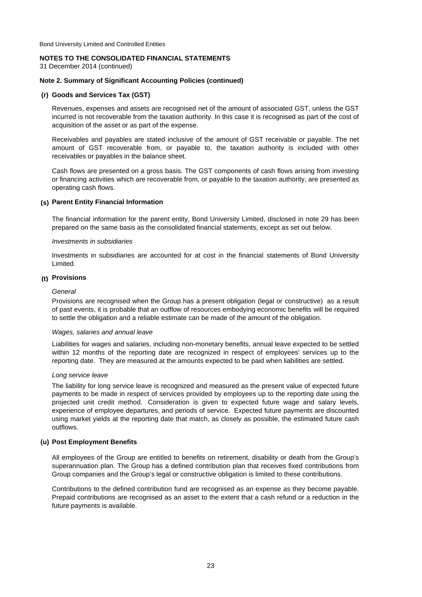### **NOTES TO THE CONSOLIDATED FINANCIAL STATEMENTS**

31 December 2014 (continued)

#### **Note 2. Summary of Significant Accounting Policies (continued)**

#### **(r) Goods and Services Tax (GST)**

Revenues, expenses and assets are recognised net of the amount of associated GST, unless the GST incurred is not recoverable from the taxation authority. In this case it is recognised as part of the cost of acquisition of the asset or as part of the expense.

Receivables and payables are stated inclusive of the amount of GST receivable or payable. The net amount of GST recoverable from, or payable to, the taxation authority is included with other receivables or payables in the balance sheet.

Cash flows are presented on a gross basis. The GST components of cash flows arising from investing or financing activities which are recoverable from, or payable to the taxation authority, are presented as operating cash flows.

### **(s) Parent Entity Financial Information**

The financial information for the parent entity, Bond University Limited, disclosed in note 29 has been prepared on the same basis as the consolidated financial statements, except as set out below.

#### *Investments in subsidiaries*

Investments in subsidiaries are accounted for at cost in the financial statements of Bond University Limited.

#### **(t) Provisions**

#### *General*

Provisions are recognised when the Group has a present obligation (legal or constructive) as a result of past events, it is probable that an outflow of resources embodying economic benefits will be required to settle the obligation and a reliable estimate can be made of the amount of the obligation.

#### *Wages, salaries and annual leave*

Liabilities for wages and salaries, including non-monetary benefits, annual leave expected to be settled within 12 months of the reporting date are recognized in respect of employees' services up to the reporting date. They are measured at the amounts expected to be paid when liabilities are settled.

#### *Long service leave*

The liability for long service leave is recognized and measured as the present value of expected future payments to be made in respect of services provided by employees up to the reporting date using the projected unit credit method. Consideration is given to expected future wage and salary levels, experience of employee departures, and periods of service. Expected future payments are discounted using market yields at the reporting date that match, as closely as possible, the estimated future cash outflows.

#### **(u) Post Employment Benefits**

All employees of the Group are entitled to benefits on retirement, disability or death from the Group's superannuation plan. The Group has a defined contribution plan that receives fixed contributions from Group companies and the Group's legal or constructive obligation is limited to these contributions.

Contributions to the defined contribution fund are recognised as an expense as they become payable. Prepaid contributions are recognised as an asset to the extent that a cash refund or a reduction in the future payments is available.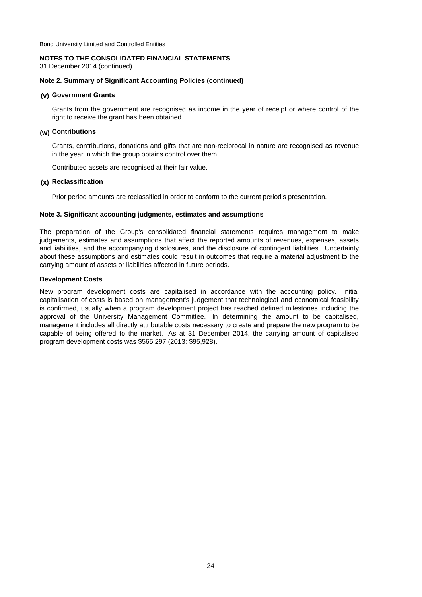### **NOTES TO THE CONSOLIDATED FINANCIAL STATEMENTS**

31 December 2014 (continued)

#### **Note 2. Summary of Significant Accounting Policies (continued)**

#### **(v) Government Grants**

Grants from the government are recognised as income in the year of receipt or where control of the right to receive the grant has been obtained.

#### **(w) Contributions**

Grants, contributions, donations and gifts that are non-reciprocal in nature are recognised as revenue in the year in which the group obtains control over them.

Contributed assets are recognised at their fair value.

#### **(x) Reclassification**

Prior period amounts are reclassified in order to conform to the current period's presentation.

#### **Note 3. Significant accounting judgments, estimates and assumptions**

The preparation of the Group's consolidated financial statements requires management to make judgements, estimates and assumptions that affect the reported amounts of revenues, expenses, assets and liabilities, and the accompanying disclosures, and the disclosure of contingent liabilities. Uncertainty about these assumptions and estimates could result in outcomes that require a material adjustment to the carrying amount of assets or liabilities affected in future periods.

#### **Development Costs**

New program development costs are capitalised in accordance with the accounting policy. Initial capitalisation of costs is based on management's judgement that technological and economical feasibility is confirmed, usually when a program development project has reached defined milestones including the approval of the University Management Committee. In determining the amount to be capitalised, management includes all directly attributable costs necessary to create and prepare the new program to be capable of being offered to the market. As at 31 December 2014, the carrying amount of capitalised program development costs was \$565,297 (2013: \$95,928).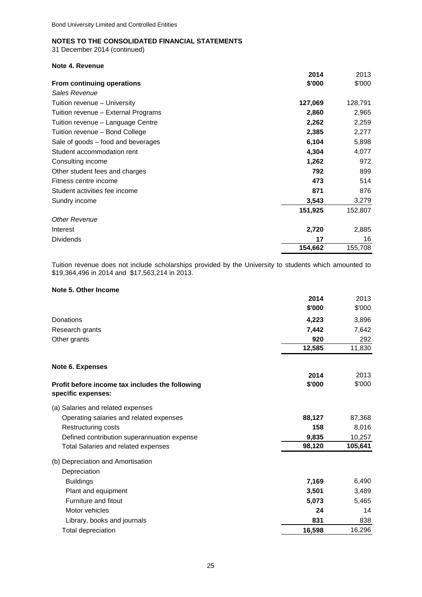31 December 2014 (continued)

### **Note 4. Revenue**

|                                     | 2014    | 2013    |
|-------------------------------------|---------|---------|
| From continuing operations          | \$'000  | \$'000  |
| Sales Revenue                       |         |         |
| Tuition revenue - University        | 127,069 | 128,791 |
| Tuition revenue - External Programs | 2,860   | 2,965   |
| Tuition revenue – Language Centre   | 2,262   | 2,259   |
| Tuition revenue – Bond College      | 2,385   | 2,277   |
| Sale of goods - food and beverages  | 6,104   | 5,898   |
| Student accommodation rent          | 4,304   | 4,077   |
| Consulting income                   | 1,262   | 972     |
| Other student fees and charges      | 792     | 899     |
| Fitness centre income               | 473     | 514     |
| Student activities fee income       | 871     | 876     |
| Sundry income                       | 3,543   | 3,279   |
|                                     | 151,925 | 152,807 |
| <b>Other Revenue</b>                |         |         |
| Interest                            | 2,720   | 2,885   |
| <b>Dividends</b>                    | 17      | 16      |
|                                     | 154,662 | 155,708 |

Tuition revenue does not include scholarships provided by the University to students which amounted to \$19,364,496 in 2014 and \$17,563,214 in 2013.

### **Note 5. Other Income**

| Donations<br>Research grants<br>Other grants<br>Note 6. Expenses<br>Profit before income tax includes the following<br>specific expenses:<br>(a) Salaries and related expenses<br>Operating salaries and related expenses | \$'000<br>4,223 | \$'000  |
|---------------------------------------------------------------------------------------------------------------------------------------------------------------------------------------------------------------------------|-----------------|---------|
|                                                                                                                                                                                                                           |                 | 3,896   |
|                                                                                                                                                                                                                           | 7,442           | 7,642   |
|                                                                                                                                                                                                                           | 920             | 292     |
|                                                                                                                                                                                                                           | 12,585          | 11,830  |
|                                                                                                                                                                                                                           |                 |         |
|                                                                                                                                                                                                                           | 2014            | 2013    |
|                                                                                                                                                                                                                           | \$'000          | \$'000  |
|                                                                                                                                                                                                                           |                 |         |
|                                                                                                                                                                                                                           | 88,127          | 87,368  |
| <b>Restructuring costs</b>                                                                                                                                                                                                | 158             | 8,016   |
| Defined contribution superannuation expense                                                                                                                                                                               | 9,835           | 10,257  |
| Total Salaries and related expenses                                                                                                                                                                                       | 98,120          | 105,641 |
| (b) Depreciation and Amortisation                                                                                                                                                                                         |                 |         |
| Depreciation                                                                                                                                                                                                              |                 |         |
| <b>Buildings</b>                                                                                                                                                                                                          | 7,169           | 6,490   |
| Plant and equipment                                                                                                                                                                                                       | 3,501           | 3,489   |
| Furniture and fitout                                                                                                                                                                                                      | 5,073           | 5,465   |
| Motor vehicles                                                                                                                                                                                                            | 24              | 14      |
| Library, books and journals                                                                                                                                                                                               | 831             | 838     |
| Total depreciation                                                                                                                                                                                                        | 16,598          | 16,296  |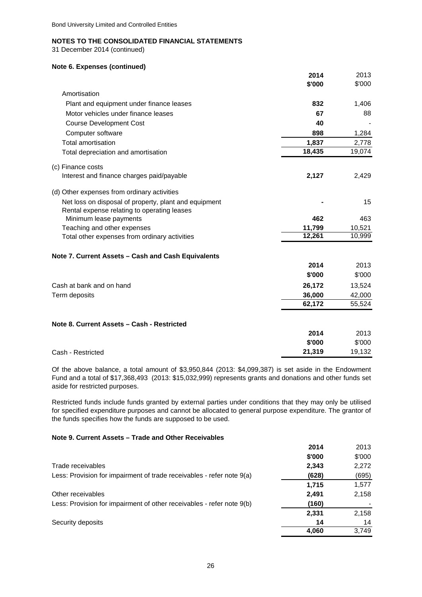31 December 2014 (continued)

### **Note 6. Expenses (continued)**

|        | 2013           |
|--------|----------------|
| \$'000 | \$'000         |
|        |                |
| 832    | 1,406          |
| 67     | 88             |
| 40     |                |
| 898    | 1,284          |
| 1,837  | 2,778          |
| 18,435 | 19,074         |
|        |                |
| 2,127  | 2,429          |
|        |                |
|        | 15             |
| 462    | 463            |
| 11,799 | 10,521         |
|        | 10,999         |
|        |                |
| 2014   | 2013           |
| \$'000 | \$'000         |
| 26,172 | 13,524         |
| 36,000 | 42,000         |
| 62,172 | 55,524         |
|        |                |
| 2014   | 2013           |
| \$'000 | \$'000         |
| 21,319 | 19,132         |
|        | 2014<br>12,261 |

Of the above balance, a total amount of \$3,950,844 (2013: \$4,099,387) is set aside in the Endowment Fund and a total of \$17,368,493 (2013: \$15,032,999) represents grants and donations and other funds set aside for restricted purposes.

Restricted funds include funds granted by external parties under conditions that they may only be utilised for specified expenditure purposes and cannot be allocated to general purpose expenditure. The grantor of the funds specifies how the funds are supposed to be used.

### **Note 9. Current Assets – Trade and Other Receivables**

|                                                                       | 2014   | 2013   |
|-----------------------------------------------------------------------|--------|--------|
|                                                                       | \$'000 | \$'000 |
| Trade receivables                                                     | 2,343  | 2,272  |
| Less: Provision for impairment of trade receivables - refer note 9(a) | (628)  | (695)  |
|                                                                       | 1.715  | 1,577  |
| Other receivables                                                     | 2,491  | 2,158  |
| Less: Provision for impairment of other receivables - refer note 9(b) | (160)  |        |
|                                                                       | 2,331  | 2,158  |
| Security deposits                                                     | 14     | 14     |
|                                                                       | 4.060  | 3,749  |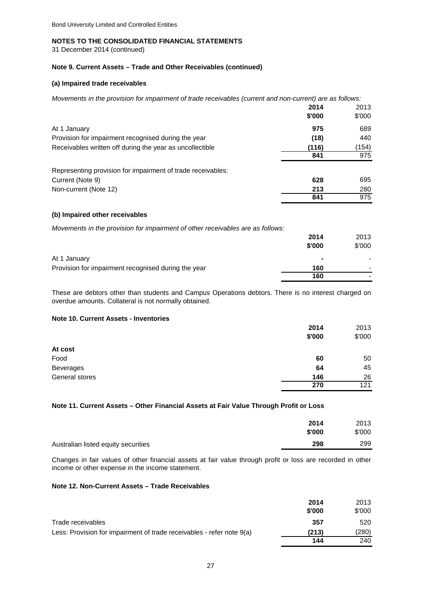31 December 2014 (continued)

### **Note 9. Current Assets – Trade and Other Receivables (continued)**

#### **(a) Impaired trade receivables**

*Movements in the provision for impairment of trade receivables (current and non-current) are as follows:*

|                                                             | 2014   | 2013   |
|-------------------------------------------------------------|--------|--------|
|                                                             | \$'000 | \$'000 |
| At 1 January                                                | 975    | 689    |
| Provision for impairment recognised during the year         | (18)   | 440    |
| Receivables written off during the year as uncollectible    | (116)  | (154)  |
|                                                             | 841    | 975    |
| Representing provision for impairment of trade receivables: |        |        |
| Current (Note 9)                                            | 628    | 695    |
| Non-current (Note 12)                                       | 213    | 280    |
|                                                             | 841    | 975    |
|                                                             |        |        |

#### **(b) Impaired other receivables**

*Movements in the provision for impairment of other receivables are as follows:*

|                                                     | 2014   | 2013                     |
|-----------------------------------------------------|--------|--------------------------|
|                                                     | \$'000 | \$'000                   |
| At 1 January                                        | ۰      |                          |
| Provision for impairment recognised during the year | 160    | $\overline{\phantom{a}}$ |
|                                                     | 160    |                          |

These are debtors other than students and Campus Operations debtors. There is no interest charged on overdue amounts. Collateral is not normally obtained.

#### **Note 10. Current Assets - Inventories**

|                  | 2014   | 2013   |
|------------------|--------|--------|
|                  | \$'000 | \$'000 |
| At cost          |        |        |
| Food             | 60     | 50     |
| <b>Beverages</b> | 64     | 45     |
| General stores   | 146    | 26     |
|                  | 270    | 121    |

#### **Note 11. Current Assets – Other Financial Assets at Fair Value Through Profit or Loss**

|                                     | 2014<br>\$'000 | 2013<br>\$'000 |
|-------------------------------------|----------------|----------------|
| Australian listed equity securities | 298            | 299            |

Changes in fair values of other financial assets at fair value through profit or loss are recorded in other income or other expense in the income statement.

### **Note 12. Non-Current Assets – Trade Receivables**

|                                                                       | 2014<br>\$'000 | 2013<br>\$'000 |
|-----------------------------------------------------------------------|----------------|----------------|
| Trade receivables                                                     | 357            | 520            |
| Less: Provision for impairment of trade receivables - refer note 9(a) | (213)          | (280)          |
|                                                                       | 144            | 240            |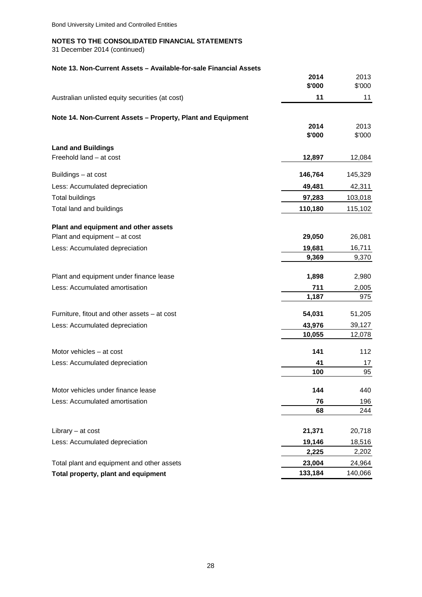31 December 2014 (continued)

### **Note 13. Non-Current Assets – Available-for-sale Financial Assets**

|                                                             | 2014           | 2013           |
|-------------------------------------------------------------|----------------|----------------|
|                                                             | \$'000         | \$'000         |
| Australian unlisted equity securities (at cost)             | 11             | 11             |
| Note 14. Non-Current Assets - Property, Plant and Equipment |                |                |
|                                                             | 2014<br>\$'000 | 2013<br>\$'000 |
| <b>Land and Buildings</b>                                   |                |                |
| Freehold land - at cost                                     | 12,897         | 12,084         |
| Buildings - at cost                                         | 146,764        | 145,329        |
|                                                             |                |                |
| Less: Accumulated depreciation                              | 49,481         | 42,311         |
| <b>Total buildings</b>                                      | 97,283         | 103,018        |
| Total land and buildings                                    | 110,180        | 115,102        |
| Plant and equipment and other assets                        |                |                |
| Plant and equipment - at cost                               | 29,050         | 26,081         |
| Less: Accumulated depreciation                              | 19,681         | 16,711         |
|                                                             | 9,369          | 9,370          |
| Plant and equipment under finance lease                     | 1,898          | 2,980          |
| Less: Accumulated amortisation                              | 711            | 2,005          |
|                                                             | 1,187          | 975            |
|                                                             |                |                |
| Furniture, fitout and other assets - at cost                | 54,031         | 51,205         |
| Less: Accumulated depreciation                              | 43,976         | 39,127         |
|                                                             | 10,055         | 12,078         |
| Motor vehicles - at cost                                    | 141            | 112            |
| Less: Accumulated depreciation                              | 41             | 17             |
|                                                             | 100            | 95             |
| Motor vehicles under finance lease                          | 144            | 440            |
| Less: Accumulated amortisation                              | 76             | 196            |
|                                                             | 68             | 244            |
|                                                             |                |                |
| Library - at cost                                           | 21,371         | 20,718         |
| Less: Accumulated depreciation                              | 19,146         | 18,516         |
|                                                             | 2,225          | 2,202          |
| Total plant and equipment and other assets                  | 23,004         | 24,964         |
| Total property, plant and equipment                         | 133,184        | 140,066        |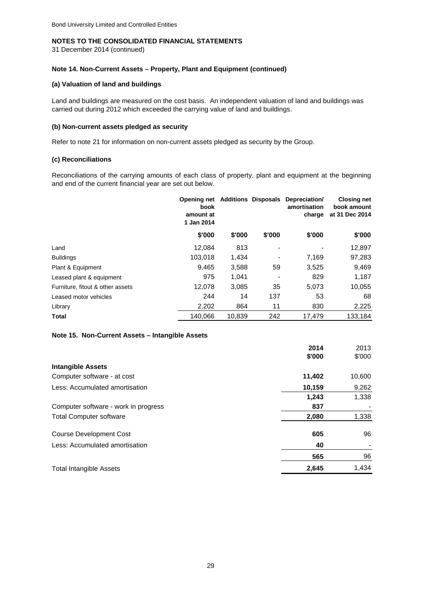31 December 2014 (continued)

### **Note 14. Non-Current Assets – Property, Plant and Equipment (continued)**

### **(a) Valuation of land and buildings**

Land and buildings are measured on the cost basis. An independent valuation of land and buildings was carried out during 2012 which exceeded the carrying value of land and buildings.

#### **(b) Non-current assets pledged as security**

Refer to note 21 for information on non-current assets pledged as security by the Group.

### **(c) Reconciliations**

Reconciliations of the carrying amounts of each class of property, plant and equipment at the beginning and end of the current financial year are set out below.

|                                  | <b>Opening net Additions Disposals</b><br>book<br>amount at<br>1 Jan 2014 |        |        | Depreciation/<br>amortisation<br>charge | <b>Closing net</b><br>book amount<br>at 31 Dec 2014 |
|----------------------------------|---------------------------------------------------------------------------|--------|--------|-----------------------------------------|-----------------------------------------------------|
|                                  | \$'000                                                                    | \$'000 | \$'000 | \$'000                                  | \$'000                                              |
| Land                             | 12,084                                                                    | 813    |        |                                         | 12,897                                              |
| <b>Buildings</b>                 | 103,018                                                                   | 1.434  |        | 7.169                                   | 97,283                                              |
| Plant & Equipment                | 9,465                                                                     | 3,588  | 59     | 3,525                                   | 9,469                                               |
| Leased plant & equipment         | 975                                                                       | 1,041  |        | 829                                     | 1,187                                               |
| Furniture, fitout & other assets | 12,078                                                                    | 3,085  | 35     | 5,073                                   | 10,055                                              |
| Leased motor vehicles            | 244                                                                       | 14     | 137    | 53                                      | 68                                                  |
| Library                          | 2,202                                                                     | 864    | 11     | 830                                     | 2,225                                               |
| <b>Total</b>                     | 140.066                                                                   | 10.839 | 242    | 17.479                                  | 133.184                                             |

### **Note 15. Non-Current Assets – Intangible Assets**

|                                      | 2014   | 2013   |
|--------------------------------------|--------|--------|
| <b>Intangible Assets</b>             | \$'000 | \$'000 |
| Computer software - at cost          | 11,402 | 10,600 |
| Less: Accumulated amortisation       | 10,159 | 9,262  |
|                                      | 1,243  | 1,338  |
| Computer software - work in progress | 837    |        |
| <b>Total Computer software</b>       | 2,080  | 1,338  |
| <b>Course Development Cost</b>       | 605    | 96     |
| Less: Accumulated amortisation       | 40     |        |
|                                      | 565    | 96     |
| <b>Total Intangible Assets</b>       | 2,645  | 1,434  |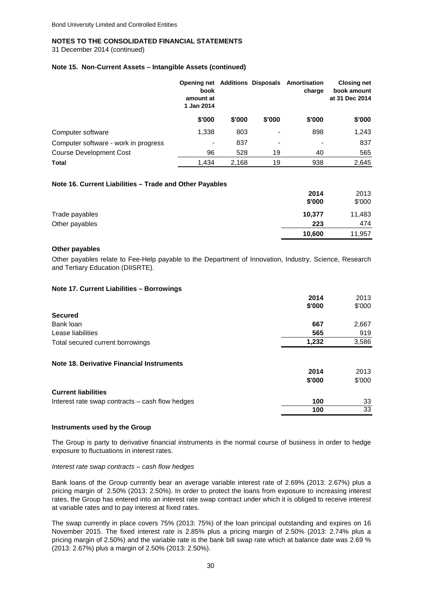31 December 2014 (continued)

### **Note 15. Non-Current Assets – Intangible Assets (continued)**

|                                      | book<br>amount at<br>1 Jan 2014 |        |                          | Opening net Additions Disposals Amortisation<br>charge | <b>Closing net</b><br>book amount<br>at 31 Dec 2014 |
|--------------------------------------|---------------------------------|--------|--------------------------|--------------------------------------------------------|-----------------------------------------------------|
|                                      | \$'000                          | \$'000 | \$'000                   | \$'000                                                 | \$'000                                              |
| Computer software                    | 1,338                           | 803    | -                        | 898                                                    | 1,243                                               |
| Computer software - work in progress | $\,$                            | 837    | $\overline{\phantom{0}}$ |                                                        | 837                                                 |
| <b>Course Development Cost</b>       | 96                              | 528    | 19                       | 40                                                     | 565                                                 |
| <b>Total</b>                         | 1.434                           | 2,168  | 19                       | 938                                                    | 2,645                                               |

### **Note 16. Current Liabilities – Trade and Other Payables**

|                | 2014<br>\$'000 | 2013<br>\$'000 |
|----------------|----------------|----------------|
| Trade payables | 10,377         | 11,483         |
| Other payables | 223            | 474            |
|                | 10,600         | 11,957         |

#### **Other payables**

Other payables relate to Fee-Help payable to the Department of Innovation, Industry, Science, Research and Tertiary Education (DIISRTE).

### **Note 17. Current Liabilities – Borrowings**

|                                                 | 2014   | 2013   |
|-------------------------------------------------|--------|--------|
|                                                 | \$'000 | \$'000 |
| <b>Secured</b>                                  |        |        |
| Bank loan                                       | 667    | 2,667  |
| Lease liabilities                               | 565    | 919    |
| Total secured current borrowings                | 1,232  | 3,586  |
| Note 18. Derivative Financial Instruments       |        |        |
|                                                 | 2014   | 2013   |
|                                                 | \$'000 | \$'000 |
| <b>Current liabilities</b>                      |        |        |
| Interest rate swap contracts – cash flow hedges | 100    | 33     |
|                                                 | 100    | 33     |

#### **Instruments used by the Group**

The Group is party to derivative financial instruments in the normal course of business in order to hedge exposure to fluctuations in interest rates.

#### *Interest rate swap contracts – cash flow hedges*

Bank loans of the Group currently bear an average variable interest rate of 2.69% (2013: 2.67%) plus a pricing margin of 2.50% (2013: 2.50%). In order to protect the loans from exposure to increasing interest rates, the Group has entered into an interest rate swap contract under which it is obliged to receive interest at variable rates and to pay interest at fixed rates.

The swap currently in place covers 75% (2013: 75%) of the loan principal outstanding and expires on 16 November 2015. The fixed interest rate is 2.85% plus a pricing margin of 2.50% (2013: 2.74% plus a pricing margin of 2.50%) and the variable rate is the bank bill swap rate which at balance date was 2.69 % (2013: 2.67%) plus a margin of 2.50% (2013: 2.50%).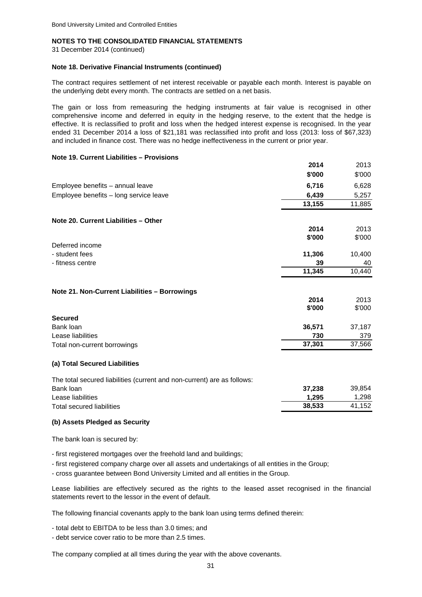31 December 2014 (continued)

#### **Note 18. Derivative Financial Instruments (continued)**

The contract requires settlement of net interest receivable or payable each month. Interest is payable on the underlying debt every month. The contracts are settled on a net basis.

The gain or loss from remeasuring the hedging instruments at fair value is recognised in other comprehensive income and deferred in equity in the hedging reserve, to the extent that the hedge is effective. It is reclassified to profit and loss when the hedged interest expense is recognised. In the year ended 31 December 2014 a loss of \$21,181 was reclassified into profit and loss (2013: loss of \$67,323) and included in finance cost. There was no hedge ineffectiveness in the current or prior year.

#### **Note 19. Current Liabilities – Provisions**

|                                               | 2014   | 2013   |
|-----------------------------------------------|--------|--------|
|                                               | \$'000 | \$'000 |
| Employee benefits - annual leave              | 6,716  | 6,628  |
| Employee benefits - long service leave        | 6,439  | 5,257  |
|                                               | 13,155 | 11,885 |
| Note 20. Current Liabilities - Other          |        |        |
|                                               | 2014   | 2013   |
|                                               | \$'000 | \$'000 |
| Deferred income                               |        |        |
| - student fees                                | 11,306 | 10,400 |
| - fitness centre                              | 39     | 40     |
|                                               | 11,345 | 10,440 |
| Note 21. Non-Current Liabilities - Borrowings |        |        |
|                                               | 2014   | 2013   |
|                                               | \$'000 | \$'000 |
| <b>Secured</b>                                |        |        |
| Bank loan                                     | 36,571 | 37,187 |
| Lease liabilities                             | 730    | 379    |

#### **(a) Total Secured Liabilities**

The total secured liabilities (current and non-current) are as follows: Bank loan **37,238** 39,854 Lease liabilities **1,295** 1,298 Total secured liabilities **38,533** 41,152

Total non-current borrowings **37,301** 37,566

#### **(b) Assets Pledged as Security**

The bank loan is secured by:

- first registered mortgages over the freehold land and buildings;

- first registered company charge over all assets and undertakings of all entities in the Group;

- cross guarantee between Bond University Limited and all entities in the Group.

Lease liabilities are effectively secured as the rights to the leased asset recognised in the financial statements revert to the lessor in the event of default.

The following financial covenants apply to the bank loan using terms defined therein:

- total debt to EBITDA to be less than 3.0 times; and

- debt service cover ratio to be more than 2.5 times.

The company complied at all times during the year with the above covenants.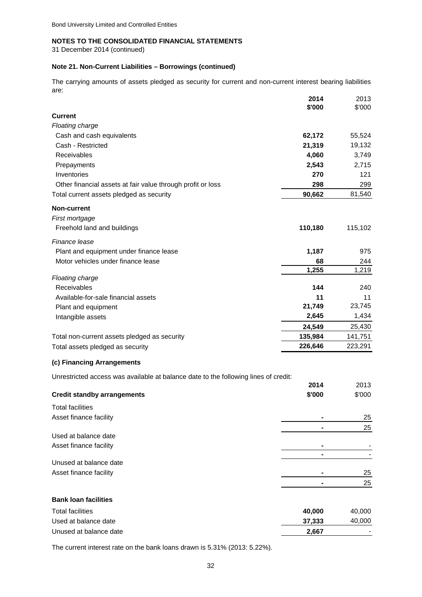31 December 2014 (continued)

### **Note 21. Non-Current Liabilities – Borrowings (continued)**

The carrying amounts of assets pledged as security for current and non-current interest bearing liabilities are:

|                                                                                     | 2014            | 2013            |
|-------------------------------------------------------------------------------------|-----------------|-----------------|
|                                                                                     | \$'000          | \$'000          |
| <b>Current</b>                                                                      |                 |                 |
| <b>Floating charge</b>                                                              |                 |                 |
| Cash and cash equivalents<br>Cash - Restricted                                      | 62,172          | 55,524          |
| Receivables                                                                         | 21,319<br>4,060 | 19,132<br>3,749 |
|                                                                                     | 2,543           | 2,715           |
| Prepayments<br>Inventories                                                          | 270             | 121             |
| Other financial assets at fair value through profit or loss                         | 298             | 299             |
| Total current assets pledged as security                                            | 90,662          | 81,540          |
|                                                                                     |                 |                 |
| <b>Non-current</b>                                                                  |                 |                 |
| First mortgage                                                                      |                 |                 |
| Freehold land and buildings                                                         | 110,180         | 115,102         |
| Finance lease                                                                       |                 |                 |
| Plant and equipment under finance lease                                             | 1,187           | 975             |
| Motor vehicles under finance lease                                                  | 68              | 244             |
| <b>Floating charge</b>                                                              | 1,255           | 1,219           |
| Receivables                                                                         | 144             | 240             |
| Available-for-sale financial assets                                                 | 11              | 11              |
| Plant and equipment                                                                 | 21,749          | 23,745          |
| Intangible assets                                                                   | 2,645           | 1,434           |
|                                                                                     | 24,549          | 25,430          |
| Total non-current assets pledged as security                                        | 135,984         | 141,751         |
| Total assets pledged as security                                                    | 226,646         | 223,291         |
|                                                                                     |                 |                 |
| (c) Financing Arrangements                                                          |                 |                 |
| Unrestricted access was available at balance date to the following lines of credit: |                 |                 |
|                                                                                     | 2014            | 2013            |
| <b>Credit standby arrangements</b>                                                  | \$'000          | \$'000          |
| <b>Total facilities</b>                                                             |                 |                 |
| Asset finance facility                                                              |                 | 25              |
|                                                                                     |                 | 25              |
| Used at balance date                                                                |                 |                 |
| Asset finance facility                                                              |                 |                 |
| Unused at balance date                                                              |                 |                 |
| Asset finance facility                                                              |                 | 25              |
|                                                                                     |                 | 25              |
| <b>Bank loan facilities</b>                                                         |                 |                 |
|                                                                                     |                 |                 |
| <b>Total facilities</b>                                                             | 40,000          | 40,000          |
| Used at balance date                                                                | 37,333          | 40,000          |
| Unused at balance date                                                              | 2,667           |                 |

The current interest rate on the bank loans drawn is 5.31% (2013: 5.22%).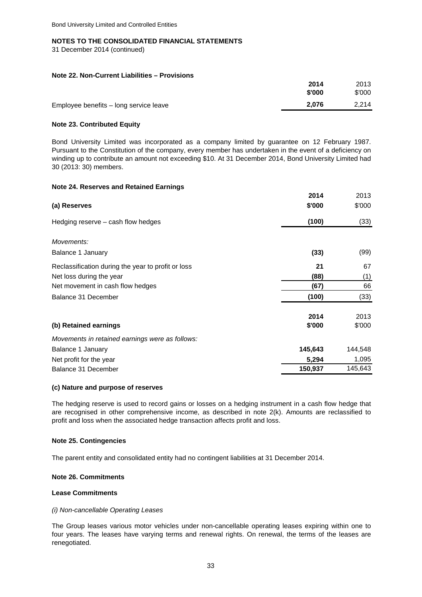31 December 2014 (continued)

#### **Note 22. Non-Current Liabilities – Provisions**

|                                        | 2014   | 2013   |
|----------------------------------------|--------|--------|
|                                        | \$'000 | \$'000 |
| Employee benefits - long service leave | 2.076  | 2.214  |

#### **Note 23. Contributed Equity**

Bond University Limited was incorporated as a company limited by guarantee on 12 February 1987. Pursuant to the Constitution of the company, every member has undertaken in the event of a deficiency on winding up to contribute an amount not exceeding \$10. At 31 December 2014, Bond University Limited had 30 (2013: 30) members.

#### **Note 24. Reserves and Retained Earnings**

|                                                    | 2014    | 2013    |
|----------------------------------------------------|---------|---------|
| (a) Reserves                                       | \$'000  | \$'000  |
| Hedging reserve – cash flow hedges                 | (100)   | (33)    |
| Movements:                                         |         |         |
| Balance 1 January                                  | (33)    | (99)    |
| Reclassification during the year to profit or loss | 21      | 67      |
| Net loss during the year                           | (88)    | (1)     |
| Net movement in cash flow hedges                   | (67)    | 66      |
| Balance 31 December                                | (100)   | (33)    |
|                                                    | 2014    | 2013    |
| (b) Retained earnings                              | \$'000  | \$'000  |
| Movements in retained earnings were as follows:    |         |         |
| Balance 1 January                                  | 145,643 | 144,548 |
| Net profit for the year                            | 5,294   | 1,095   |
| Balance 31 December                                | 150,937 | 145,643 |

#### **(c) Nature and purpose of reserves**

The hedging reserve is used to record gains or losses on a hedging instrument in a cash flow hedge that are recognised in other comprehensive income, as described in note 2(k). Amounts are reclassified to profit and loss when the associated hedge transaction affects profit and loss.

#### **Note 25. Contingencies**

The parent entity and consolidated entity had no contingent liabilities at 31 December 2014.

#### **Note 26. Commitments**

#### **Lease Commitments**

#### *(i) Non-cancellable Operating Leases*

The Group leases various motor vehicles under non-cancellable operating leases expiring within one to four years. The leases have varying terms and renewal rights. On renewal, the terms of the leases are renegotiated.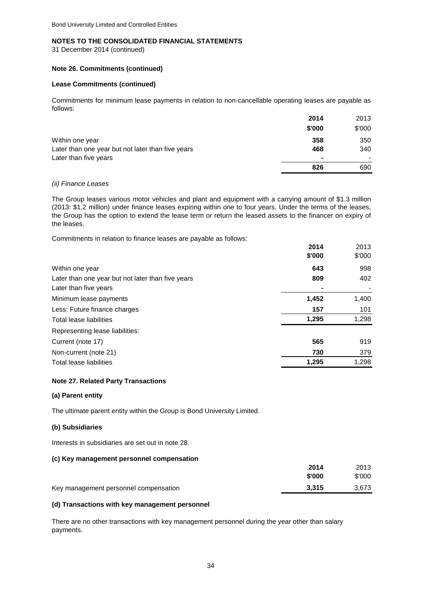31 December 2014 (continued)

#### **Note 26. Commitments (continued)**

#### **Lease Commitments (continued)**

Commitments for minimum lease payments in relation to non-cancellable operating leases are payable as follows:

|                                                   | 2014   | 2013   |
|---------------------------------------------------|--------|--------|
|                                                   | \$'000 | \$'000 |
| Within one year                                   | 358    | 350    |
| Later than one year but not later than five years | 468    | 340    |
| Later than five years                             | ۰      |        |
|                                                   | 826    | 690    |

#### *(ii) Finance Leases*

The Group leases various motor vehicles and plant and equipment with a carrying amount of \$1.3 million (2013: \$1.2 million) under finance leases expiring within one to four years. Under the terms of the leases, the Group has the option to extend the lease term or return the leased assets to the financer on expiry of the leases.

Commitments in relation to finance leases are payable as follows:

|                                                   | 2014<br>\$'000 | 2013<br>\$'000 |
|---------------------------------------------------|----------------|----------------|
| Within one year                                   | 643            | 998            |
| Later than one year but not later than five years | 809            | 402            |
| Later than five years                             |                |                |
| Minimum lease payments                            | 1,452          | 1,400          |
| Less: Future finance charges                      | 157            | 101            |
| Total lease liabilities                           | 1,295          | 1,298          |
| Representing lease liabilities:                   |                |                |
| Current (note 17)                                 | 565            | 919            |
| Non-current (note 21)                             | 730            | 379            |
| Total lease liabilities                           | 1,295          | 1,298          |

#### **Note 27. Related Party Transactions**

#### **(a) Parent entity**

The ultimate parent entity within the Group is Bond University Limited.

#### **(b) Subsidiaries**

Interests in subsidiaries are set out in note 28.

### **(c) Key management personnel compensation**

| $\mathbf{v}$ , and a set of the set of the set of the set of $\mathbf{v}$ | 2014<br>\$'000 | 2013<br>\$'000 |
|---------------------------------------------------------------------------|----------------|----------------|
| Key management personnel compensation                                     | 3.315          | 3.673          |

#### **(d) Transactions with key management personnel**

There are no other transactions with key management personnel during the year other than salary payments.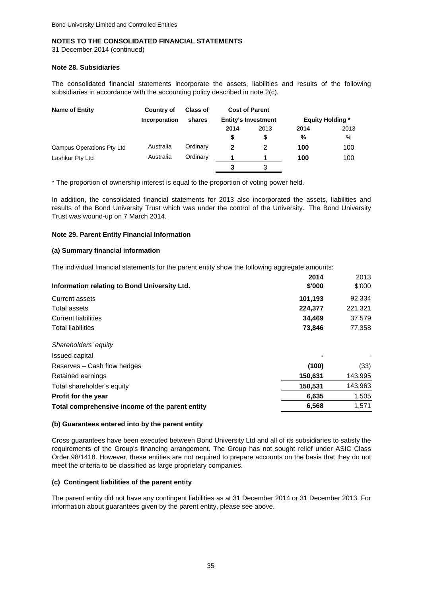31 December 2014 (continued)

#### **Note 28. Subsidiaries**

The consolidated financial statements incorporate the assets, liabilities and results of the following subsidiaries in accordance with the accounting policy described in note 2(c).

| Name of Entity            | <b>Country of</b> | <b>Class of</b> |                            | <b>Cost of Parent</b> |                         |      |
|---------------------------|-------------------|-----------------|----------------------------|-----------------------|-------------------------|------|
|                           | Incorporation     | shares          | <b>Entity's Investment</b> |                       | <b>Equity Holding *</b> |      |
|                           |                   |                 | 2014                       | 2013                  | 2014                    | 2013 |
|                           |                   |                 | \$                         | \$                    | %                       | %    |
| Campus Operations Pty Ltd | Australia         | Ordinary        | 2                          | 2                     | 100                     | 100  |
| Lashkar Pty Ltd           | Australia         | Ordinary        |                            |                       | 100                     | 100  |
|                           |                   |                 | 3                          | 3                     |                         |      |

\* The proportion of ownership interest is equal to the proportion of voting power held.

In addition, the consolidated financial statements for 2013 also incorporated the assets, liabilities and results of the Bond University Trust which was under the control of the University. The Bond University Trust was wound-up on 7 March 2014.

#### **Note 29. Parent Entity Financial Information**

#### **(a) Summary financial information**

The individual financial statements for the parent entity show the following aggregate amounts:

| Information relating to Bond University Ltd.    | 2014<br>\$'000 | 2013<br>\$'000 |
|-------------------------------------------------|----------------|----------------|
| <b>Current assets</b>                           | 101,193        | 92,334         |
| Total assets                                    | 224,377        | 221.321        |
| <b>Current liabilities</b>                      | 34,469         | 37,579         |
| <b>Total liabilities</b>                        | 73,846         | 77,358         |
| Shareholders' equity                            |                |                |
| Issued capital                                  |                |                |
| Reserves – Cash flow hedges                     | (100)          | (33)           |
| Retained earnings                               | 150,631        | 143,995        |
| Total shareholder's equity                      | 150,531        | 143,963        |
| <b>Profit for the year</b>                      | 6,635          | 1,505          |
| Total comprehensive income of the parent entity | 6,568          | 1,571          |
|                                                 |                |                |

#### **(b) Guarantees entered into by the parent entity**

Cross guarantees have been executed between Bond University Ltd and all of its subsidiaries to satisfy the requirements of the Group's financing arrangement. The Group has not sought relief under ASIC Class Order 98/1418. However, these entities are not required to prepare accounts on the basis that they do not meet the criteria to be classified as large proprietary companies.

#### **(c) Contingent liabilities of the parent entity**

The parent entity did not have any contingent liabilities as at 31 December 2014 or 31 December 2013. For information about guarantees given by the parent entity, please see above.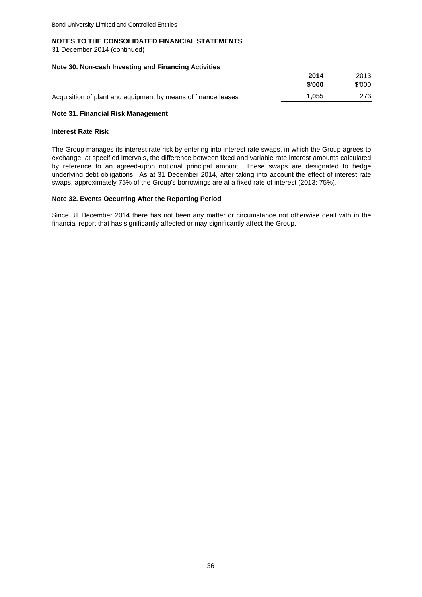31 December 2014 (continued)

#### **Note 30. Non-cash Investing and Financing Activities**

|                                                               | 2014   | 2013   |
|---------------------------------------------------------------|--------|--------|
|                                                               | \$'000 | \$'000 |
| Acquisition of plant and equipment by means of finance leases | 1.055  | 276    |

#### **Note 31. Financial Risk Management**

#### **Interest Rate Risk**

The Group manages its interest rate risk by entering into interest rate swaps, in which the Group agrees to exchange, at specified intervals, the difference between fixed and variable rate interest amounts calculated by reference to an agreed-upon notional principal amount. These swaps are designated to hedge underlying debt obligations. As at 31 December 2014, after taking into account the effect of interest rate swaps, approximately 75% of the Group's borrowings are at a fixed rate of interest (2013: 75%).

#### **Note 32. Events Occurring After the Reporting Period**

Since 31 December 2014 there has not been any matter or circumstance not otherwise dealt with in the financial report that has significantly affected or may significantly affect the Group.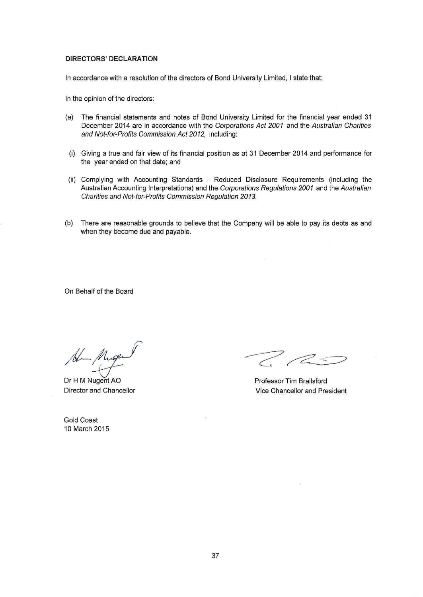### DIRECTORS' DECLARATION

In accordance with a resolution of the directors of Bond University Limited, I state that:

In the opinion of the directors:

- (a) The financial statements and notes of Bond University Limited for the financial year ended 31 December 2014 are in accordance with the Corporations Act 2001 and the Australian Charities and Not-for-Profits Commission Act 2012, including:
- (i) Giving a true and fair view of its financial position as at 31 December 2014 and performance for the year ended on that date; and
- (ii) Complying with Accounting Standards Reduced Disclosure Requirements (including the Australian Accounting Interpretations) and the Corporations Regulations 2001 and the Australian Charities and Not-for-Profits Commission Regulation 2013.
- (b) There are reasonable grounds to believe that the Company will be able to pay its debts as and when they become due and payable.

On Behalf of the Board

He. Muge

Dr H M Nugent AO Director and Chancellor

Gold Coast 10 March 2015

 $\subset$ 

Professor Tim Brailsford Vice Chancellor and President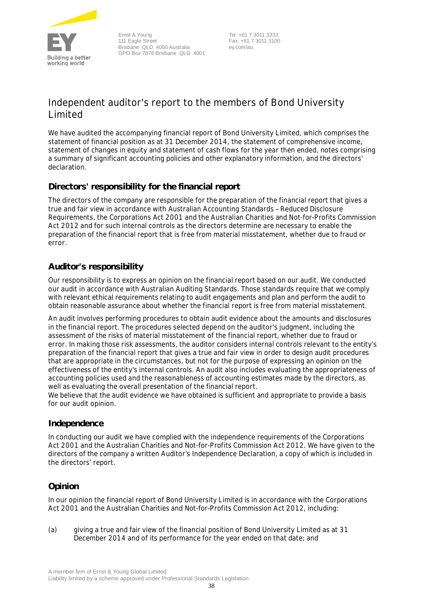

Ernst & Young 111 Eagle Street Brisbane QLD 4000 Australia GPO Box 7878 Brisbane QLD 4001

 Tel: +61 7 3011 3333 Fax: +61 7 3011 3100 ey.com/au

# **Independent auditor's report to the members of Bond University Limited**

We have audited the accompanying financial report of Bond University Limited, which comprises the statement of financial position as at 31 December 2014, the statement of comprehensive income, statement of changes in equity and statement of cash flows for the year then ended, notes comprising a summary of significant accounting policies and other explanatory information, and the directors' declaration.

### **Directors' responsibility for the financial report**

The directors of the company are responsible for the preparation of the financial report that gives a true and fair view in accordance with Australian Accounting Standards – Reduced Disclosure Requirements, the *Corporations Act 2001* and the *Australian Charities and Not-for-Profits Commission Act 2012* and for such internal controls as the directors determine are necessary to enable the preparation of the financial report that is free from material misstatement, whether due to fraud or error.

## **Auditor's responsibility**

Our responsibility is to express an opinion on the financial report based on our audit. We conducted our audit in accordance with Australian Auditing Standards. Those standards require that we comply with relevant ethical requirements relating to audit engagements and plan and perform the audit to obtain reasonable assurance about whether the financial report is free from material misstatement.

An audit involves performing procedures to obtain audit evidence about the amounts and disclosures in the financial report. The procedures selected depend on the auditor's judgment, including the assessment of the risks of material misstatement of the financial report, whether due to fraud or error. In making those risk assessments, the auditor considers internal controls relevant to the entity's preparation of the financial report that gives a true and fair view in order to design audit procedures that are appropriate in the circumstances, but not for the purpose of expressing an opinion on the effectiveness of the entity's internal controls. An audit also includes evaluating the appropriateness of accounting policies used and the reasonableness of accounting estimates made by the directors, as well as evaluating the overall presentation of the financial report.

We believe that the audit evidence we have obtained is sufficient and appropriate to provide a basis for our audit opinion.

### **Independence**

In conducting our audit we have complied with the independence requirements of the *Corporations Act 2001* and the *Australian Charities and Not-for-Profits Commission Act 2012*. We have given to the directors of the company a written Auditor's Independence Declaration, a copy of which is included in the directors' report.

### **Opinion**

In our opinion the financial report of Bond University Limited is in accordance with the *Corporations Act 2001* and the *Australian Charities and Not-for-Profits Commission Act 2012*, including:

(a) giving a true and fair view of the financial position of Bond University Limited as at 31 December 2014 and of its performance for the year ended on that date; and